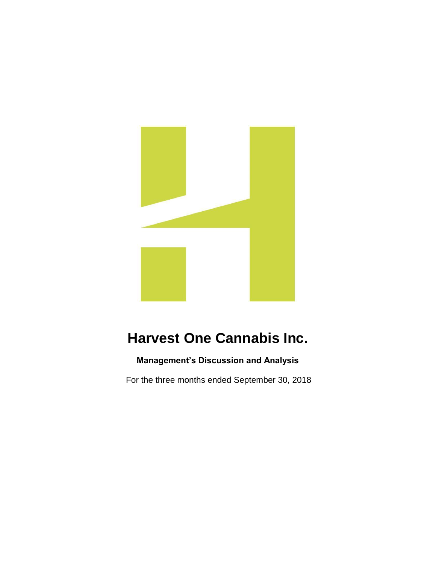

# **Harvest One Cannabis Inc.**

## **Management's Discussion and Analysis**

For the three months ended September 30, 2018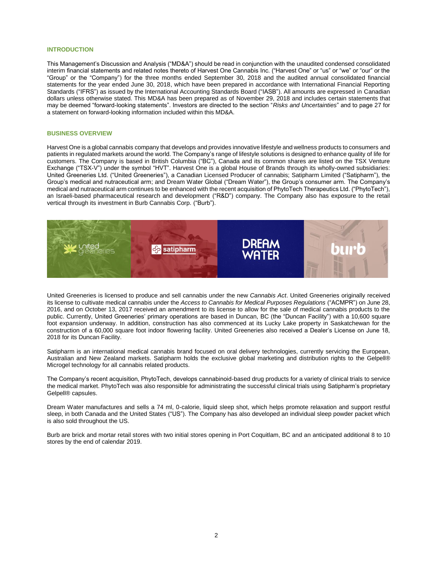#### **INTRODUCTION**

This Management's Discussion and Analysis ("MD&A") should be read in conjunction with the unaudited condensed consolidated interim financial statements and related notes thereto of Harvest One Cannabis Inc. ("Harvest One" or "us" or "we" or "our" or the "Group" or the "Company") for the three months ended September 30, 2018 and the audited annual consolidated financial statements for the year ended June 30, 2018, which have been prepared in accordance with International Financial Reporting Standards ("IFRS") as issued by the International Accounting Standards Board ("IASB"). All amounts are expressed in Canadian dollars unless otherwise stated. This MD&A has been prepared as of November 29, 2018 and includes certain statements that may be deemed "forward-looking statements". Investors are directed to the section "*Risks and Uncertainties*" and to page 27 for a statement on forward-looking information included within this MD&A.

#### **BUSINESS OVERVIEW**

Harvest One is a global cannabis company that develops and provides innovative lifestyle and wellness products to consumers and patients in regulated markets around the world. The Company's range of lifestyle solutions is designed to enhance quality of life for customers. The Company is based in British Columbia ("BC"), Canada and its common shares are listed on the TSX Venture Exchange ("TSX-V") under the symbol "HVT". Harvest One is a global House of Brands through its wholly-owned subsidiaries: United Greeneries Ltd. ("United Greeneries"), a Canadian Licensed Producer of cannabis; Satipharm Limited ("Satipharm"), the Group's medical and nutraceutical arm; and Dream Water Global ("Dream Water"), the Group's consumer arm. The Company's medical and nutraceutical arm continues to be enhanced with the recent acquisition of PhytoTech Therapeutics Ltd. ("PhytoTech"), an Israeli-based pharmaceutical research and development ("R&D") company. The Company also has exposure to the retail vertical through its investment in Burb Cannabis Corp. ("Burb").



United Greeneries is licensed to produce and sell cannabis under the new *Cannabis Act*. United Greeneries originally received its license to cultivate medical cannabis under the *Access to Cannabis for Medical Purposes Regulations* ("ACMPR") on June 28, 2016, and on October 13, 2017 received an amendment to its license to allow for the sale of medical cannabis products to the public. Currently, United Greeneries' primary operations are based in Duncan, BC (the "Duncan Facility") with a 10,600 square foot expansion underway. In addition, construction has also commenced at its Lucky Lake property in Saskatchewan for the construction of a 60,000 square foot indoor flowering facility. United Greeneries also received a Dealer's License on June 18, 2018 for its Duncan Facility.

Satipharm is an international medical cannabis brand focused on oral delivery technologies, currently servicing the European, Australian and New Zealand markets. Satipharm holds the exclusive global marketing and distribution rights to the Gelpell® Microgel technology for all cannabis related products.

The Company's recent acquisition, PhytoTech, develops cannabinoid-based drug products for a variety of clinical trials to service the medical market. PhytoTech was also responsible for administrating the successful clinical trials using Satipharm's proprietary Gelpell® capsules.

Dream Water manufactures and sells a 74 ml, 0-calorie, liquid sleep shot, which helps promote relaxation and support restful sleep, in both Canada and the United States ("US"). The Company has also developed an individual sleep powder packet which is also sold throughout the US.

Burb are brick and mortar retail stores with two initial stores opening in Port Coquitlam, BC and an anticipated additional 8 to 10 stores by the end of calendar 2019.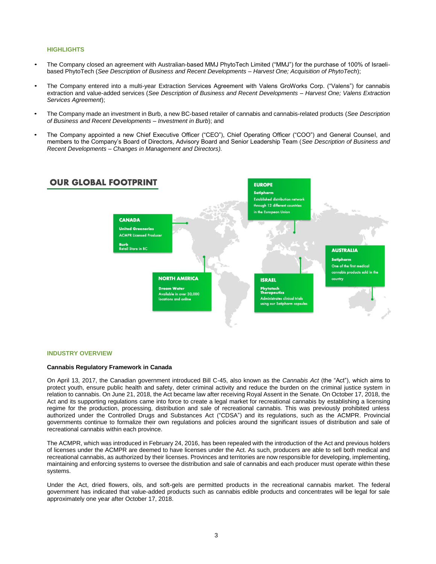#### **HIGHLIGHTS**

- The Company closed an agreement with Australian-based MMJ PhytoTech Limited ("MMJ") for the purchase of 100% of Israelibased PhytoTech (*See Description of Business and Recent Developments – Harvest One; Acquisition of PhytoTech*);
- The Company entered into a multi-year Extraction Services Agreement with Valens GroWorks Corp. ("Valens") for cannabis extraction and value-added services (*See Description of Business and Recent Developments – Harvest One; Valens Extraction Services Agreement*);
- The Company made an investment in Burb, a new BC-based retailer of cannabis and cannabis-related products (*See Description of Business and Recent Developments – Investment in Burb*); and
- The Company appointed a new Chief Executive Officer ("CEO"), Chief Operating Officer ("COO") and General Counsel, and members to the Company's Board of Directors, Advisory Board and Senior Leadership Team (*See Description of Business and Recent Developments – Changes in Management and Directors).*



#### **INDUSTRY OVERVIEW**

#### **Cannabis Regulatory Framework in Canada**

On April 13, 2017, the Canadian government introduced Bill C-45, also known as the *Cannabis Act* (the "Act"), which aims to protect youth, ensure public health and safety, deter criminal activity and reduce the burden on the criminal justice system in relation to cannabis. On June 21, 2018, the Act became law after receiving Royal Assent in the Senate. On October 17, 2018, the Act and its supporting regulations came into force to create a legal market for recreational cannabis by establishing a licensing regime for the production, processing, distribution and sale of recreational cannabis. This was previously prohibited unless authorized under the Controlled Drugs and Substances Act ("CDSA") and its regulations, such as the ACMPR. Provincial governments continue to formalize their own regulations and policies around the significant issues of distribution and sale of recreational cannabis within each province.

The ACMPR, which was introduced in February 24, 2016, has been repealed with the introduction of the Act and previous holders of licenses under the ACMPR are deemed to have licenses under the Act. As such, producers are able to sell both medical and recreational cannabis, as authorized by their licenses. Provinces and territories are now responsible for developing, implementing, maintaining and enforcing systems to oversee the distribution and sale of cannabis and each producer must operate within these systems.

Under the Act, dried flowers, oils, and soft-gels are permitted products in the recreational cannabis market. The federal government has indicated that value-added products such as cannabis edible products and concentrates will be legal for sale approximately one year after October 17, 2018.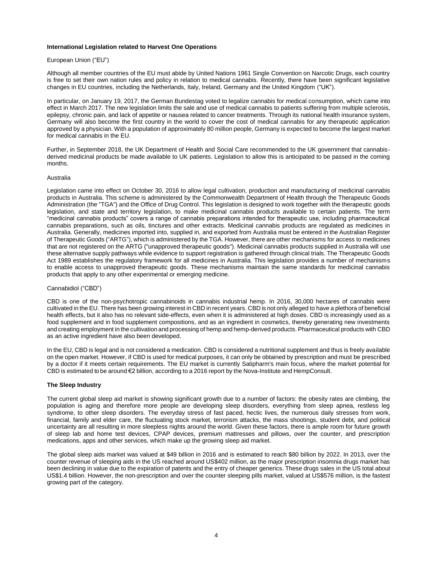#### **International Legislation related to Harvest One Operations**

#### European Union ("EU")

Although all member countries of the EU must abide by United Nations 1961 Single Convention on Narcotic Drugs, each country is free to set their own nation rules and policy in relation to medical cannabis. Recently, there have been significant legislative changes in EU countries, including the Netherlands, Italy, Ireland, Germany and the United Kingdom ("UK").

In particular, on January 19, 2017, the German Bundestag voted to legalize cannabis for medical consumption, which came into effect in March 2017. The new legislation limits the sale and use of medical cannabis to patients suffering from multiple sclerosis, epilepsy, chronic pain, and lack of appetite or nausea related to cancer treatments. Through its national health insurance system, Germany will also become the first country in the world to cover the cost of medical cannabis for any therapeutic application approved by a physician. With a population of approximately 80 million people, Germany is expected to become the largest market for medical cannabis in the EU.

Further, in September 2018, the UK Department of Health and Social Care recommended to the UK government that cannabisderived medicinal products be made available to UK patients. Legislation to allow this is anticipated to be passed in the coming months.

#### Australia

Legislation came into effect on October 30, 2016 to allow legal cultivation, production and manufacturing of medicinal cannabis products in Australia. This scheme is administered by the Commonwealth Department of Health through the Therapeutic Goods Administration (the "TGA") and the Office of Drug Control. This legislation is designed to work together with the therapeutic goods legislation, and state and territory legislation, to make medicinal cannabis products available to certain patients. The term "medicinal cannabis products" covers a range of cannabis preparations intended for therapeutic use, including pharmaceutical cannabis preparations, such as oils, tinctures and other extracts. Medicinal cannabis products are regulated as medicines in Australia. Generally, medicines imported into, supplied in, and exported from Australia must be entered in the Australian Register of Therapeutic Goods ("ARTG"), which is administered by the TGA. However, there are other mechanisms for access to medicines that are not registered on the ARTG ("unapproved therapeutic goods"). Medicinal cannabis products supplied in Australia will use these alternative supply pathways while evidence to support registration is gathered through clinical trials. The Therapeutic Goods Act 1989 establishes the regulatory framework for all medicines in Australia. This legislation provides a number of mechanisms to enable access to unapproved therapeutic goods. These mechanisms maintain the same standards for medicinal cannabis products that apply to any other experimental or emerging medicine.

#### Cannabidiol ("CBD")

CBD is one of the non-psychotropic cannabinoids in cannabis industrial hemp. In 2016, 30,000 hectares of cannabis were cultivated in the EU. There has been growing interest in CBD in recent years. CBD is not only alleged to have a plethora of beneficial health effects, but it also has no relevant side-effects, even when it is administered at high doses. CBD is increasingly used as a food supplement and in food supplement compositions, and as an ingredient in cosmetics, thereby generating new investments and creating employment in the cultivation and processing of hemp and hemp-derived products. Pharmaceutical products with CBD as an active ingredient have also been developed.

In the EU, CBD is legal and is not considered a medication. CBD is considered a nutritional supplement and thus is freely available on the open market. However, if CBD is used for medical purposes, it can only be obtained by prescription and must be prescribed by a doctor if it meets certain requirements. The EU market is currently Satipharm's main focus, where the market potential for CBD is estimated to be around €2 billion, according to a 2016 report by the Nova-Institute and HempConsult.

#### **The Sleep Industry**

The current global sleep aid market is showing significant growth due to a number of factors: the obesity rates are climbing, the population is aging and therefore more people are developing sleep disorders, everything from sleep apnea, restless leg syndrome, to other sleep disorders. The everyday stress of fast paced, hectic lives, the numerous daily stresses from work, financial, family and elder care, the fluctuating stock market, terrorism attacks, the mass shootings, student debt, and political uncertainty are all resulting in more sleepless nights around the world. Given these factors, there is ample room for future growth of sleep lab and home test devices, CPAP devices, premium mattresses and pillows, over the counter, and prescription medications, apps and other services, which make up the growing sleep aid market.

The global sleep aids market was valued at \$49 billion in 2016 and is estimated to reach \$80 billion by 2022. In 2013, over the counter revenue of sleeping aids in the US reached around US\$402 million, as the major prescription insomnia drugs market has been declining in value due to the expiration of patents and the entry of cheaper generics. These drugs sales in the US total about US\$1.4 billion. However, the non-prescription and over the counter sleeping pills market, valued at US\$576 million, is the fastest growing part of the category.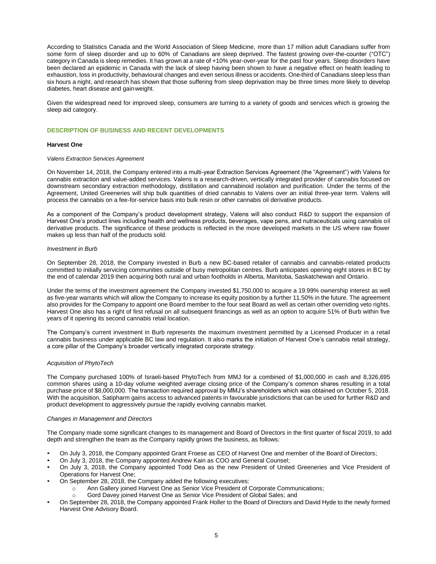According to Statistics Canada and the World Association of Sleep Medicine, more than 17 million adult Canadians suffer from some form of sleep disorder and up to 60% of Canadians are sleep deprived. The fastest growing over-the-counter ("OTC") category in Canada is sleep remedies. It has grown at a rate of +10% year-over-year for the past four years. Sleep disorders have been declared an epidemic in Canada with the lack of sleep having been shown to have a negative effect on health leading to exhaustion, loss in productivity, behavioural changes and even serious illness or accidents. One-third of Canadians sleep less than six hours a night, and research has shown that those suffering from sleep deprivation may be three times more likely to develop diabetes, heart disease and gainweight.

Given the widespread need for improved sleep, consumers are turning to a variety of goods and services which is growing the sleep aid category.

#### **DESCRIPTION OF BUSINESS AND RECENT DEVELOPMENTS**

#### **Harvest One**

#### *Valens Extraction Services Agreement*

On November 14, 2018, the Company entered into a multi-year Extraction Services Agreement (the "Agreement") with Valens for cannabis extraction and value-added services. Valens is a research-driven, vertically integrated provider of cannabis focused on downstream secondary extraction methodology, distillation and cannabinoid isolation and purification. Under the terms of the Agreement, United Greeneries will ship bulk quantities of dried cannabis to Valens over an initial three-year term. Valens will process the cannabis on a fee-for-service basis into bulk resin or other cannabis oil derivative products.

As a component of the Company's product development strategy, Valens will also conduct R&D to support the expansion of Harvest One's product lines including health and wellness products, beverages, vape pens, and nutraceuticals using cannabis oil derivative products. The significance of these products is reflected in the more developed markets in the US where raw flower makes up less than half of the products sold.

#### *Investment in Burb*

On September 28, 2018, the Company invested in Burb a new BC-based retailer of cannabis and cannabis-related products committed to initially servicing communities outside of busy metropolitan centres. Burb anticipates opening eight stores in BC by the end of calendar 2019 then acquiring both rural and urban footholds in Alberta, Manitoba, Saskatchewan and Ontario.

Under the terms of the investment agreement the Company invested \$1,750,000 to acquire a 19.99% ownership interest as well as five-year warrants which will allow the Company to increase its equity position by a further 11.50% in the future. The agreement also provides for the Company to appoint one Board member to the four seat Board as well as certain other overriding veto rights. Harvest One also has a right of first refusal on all subsequent financings as well as an option to acquire 51% of Burb within five years of it opening its second cannabis retail location.

The Company's current investment in Burb represents the maximum investment permitted by a Licensed Producer in a retail cannabis business under applicable BC law and regulation. It also marks the initiation of Harvest One's cannabis retail strategy, a core pillar of the Company's broader vertically integrated corporate strategy.

#### *Acquisition of PhytoTech*

The Company purchased 100% of Israeli-based PhytoTech from MMJ for a combined of \$1,000,000 in cash and 8,326,695 common shares using a 10-day volume weighted average closing price of the Company's common shares resulting in a total purchase price of \$8,000,000. The transaction required approval by MMJ's shareholders which was obtained on October 5, 2018. With the acquisition, Satipharm gains access to advanced patents in favourable jurisdictions that can be used for further R&D and product development to aggressively pursue the rapidly evolving cannabis market.

#### *Changes in Management and Directors*

The Company made some significant changes to its management and Board of Directors in the first quarter of fiscal 2019, to add depth and strengthen the team as the Company rapidly grows the business, as follows:

- On July 3, 2018, the Company appointed Grant Froese as CEO of Harvest One and member of the Board of Directors;
- On July 3, 2018, the Company appointed Andrew Kain as COO and General Counsel;
- On July 3, 2018, the Company appointed Todd Dea as the new President of United Greeneries and Vice President of Operations for Harvest One;
- On September 28, 2018, the Company added the following executives:
	- o Ann Gallery joined Harvest One as Senior Vice President of Corporate Communications;
		- Gord Davey joined Harvest One as Senior Vice President of Global Sales: and
- On September 28, 2018, the Company appointed Frank Holler to the Board of Directors and David Hyde to the newly formed Harvest One Advisory Board.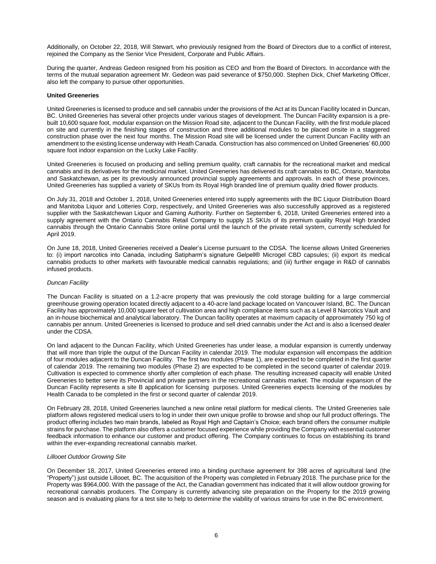Additionally, on October 22, 2018, Will Stewart, who previously resigned from the Board of Directors due to a conflict of interest, rejoined the Company as the Senior Vice President, Corporate and Public Affairs.

During the quarter, Andreas Gedeon resigned from his position as CEO and from the Board of Directors. In accordance with the terms of the mutual separation agreement Mr. Gedeon was paid severance of \$750,000. Stephen Dick, Chief Marketing Officer, also left the company to pursue other opportunities.

#### **United Greeneries**

United Greeneries is licensed to produce and sell cannabis under the provisions of the Act at its Duncan Facility located in Duncan, BC. United Greeneries has several other projects under various stages of development. The Duncan Facility expansion is a prebuilt 10,600 square foot, modular expansion on the Mission Road site, adjacent to the Duncan Facility, with the first module placed on site and currently in the finishing stages of construction and three additional modules to be placed onsite in a staggered construction phase over the next four months. The Mission Road site will be licensed under the current Duncan Facility with an amendment to the existing license underway with Heath Canada. Construction has also commenced on United Greeneries' 60,000 square foot indoor expansion on the Lucky Lake Facility.

United Greeneries is focused on producing and selling premium quality, craft cannabis for the recreational market and medical cannabis and its derivatives for the medicinal market. United Greeneries has delivered its craft cannabis to BC, Ontario, Manitoba and Saskatchewan, as per its previously announced provincial supply agreements and approvals. In each of these provinces, United Greeneries has supplied a variety of SKUs from its Royal High branded line of premium quality dried flower products.

On July 31, 2018 and October 1, 2018, United Greeneries entered into supply agreements with the BC Liquor Distribution Board and Manitoba Liquor and Lotteries Corp, respectively, and United Greeneries was also successfully approved as a registered supplier with the Saskatchewan Liquor and Gaming Authority. Further on September 6, 2018, United Greeneries entered into a supply agreement with the Ontario Cannabis Retail Company to supply 15 SKUs of its premium quality Royal High branded cannabis through the Ontario Cannabis Store online portal until the launch of the private retail system, currently scheduled for April 2019.

On June 18, 2018, United Greeneries received a Dealer's License pursuant to the CDSA. The license allows United Greeneries to: (i) import narcotics into Canada, including Satipharm's signature Gelpell® Microgel CBD capsules; (ii) export its medical cannabis products to other markets with favourable medical cannabis regulations; and (iii) further engage in R&D of cannabis infused products.

#### *Duncan Facility*

The Duncan Facility is situated on a 1.2-acre property that was previously the cold storage building for a large commercial greenhouse growing operation located directly adjacent to a 40-acre land package located on Vancouver Island, BC. The Duncan Facility has approximately 10,000 square feet of cultivation area and high compliance items such as a Level 8 Narcotics Vault and an in-house biochemical and analytical laboratory. The Duncan facility operates at maximum capacity of approximately 750 kg of cannabis per annum. United Greeneries is licensed to produce and sell dried cannabis under the Act and is also a licensed dealer under the CDSA.

On land adjacent to the Duncan Facility, which United Greeneries has under lease, a modular expansion is currently underway that will more than triple the output of the Duncan Facility in calendar 2019. The modular expansion will encompass the addition of four modules adjacent to the Duncan Facility. The first two modules (Phase 1), are expected to be completed in the first quarter of calendar 2019. The remaining two modules (Phase 2) are expected to be completed in the second quarter of calendar 2019. Cultivation is expected to commence shortly after completion of each phase. The resulting increased capacity will enable United Greeneries to better serve its Provincial and private partners in the recreational cannabis market. The modular expansion of the Duncan Facility represents a site B application for licensing purposes. United Greeneries expects licensing of the modules by Health Canada to be completed in the first or second quarter of calendar 2019.

On February 28, 2018, United Greeneries launched a new online retail platform for medical clients. The United Greeneries sale platform allows registered medical users to log in under their own unique profile to browse and shop our full product offerings. The product offering includes two main brands, labeled as Royal High and Captain's Choice; each brand offers the consumer multiple strains for purchase. The platform also offers a customer focused experience while providing the Company with essential customer feedback information to enhance our customer and product offering. The Company continues to focus on establishing its brand within the ever-expanding recreational cannabis market.

#### *Lillooet Outdoor Growing Site*

On December 18, 2017, United Greeneries entered into a binding purchase agreement for 398 acres of agricultural land (the "Property") just outside Lillooet, BC. The acquisition of the Property was completed in February 2018. The purchase price for the Property was \$964,000. With the passage of the Act, the Canadian government has indicated that it will allow outdoor growing for recreational cannabis producers. The Company is currently advancing site preparation on the Property for the 2019 growing season and is evaluating plans for a test site to help to determine the viability of various strains for use in the BC environment.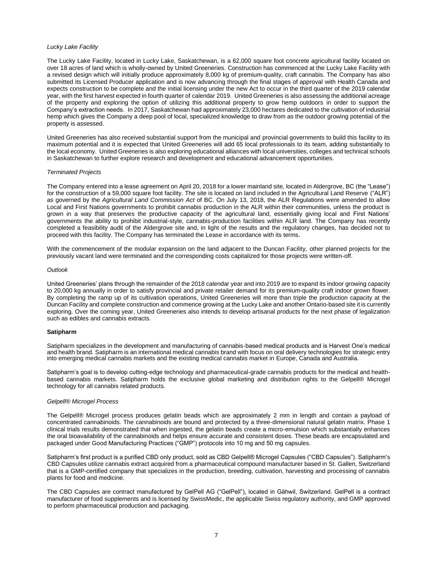#### *Lucky Lake Facility*

The Lucky Lake Facility, located in Lucky Lake, Saskatchewan, is a 62,000 square foot concrete agricultural facility located on over 18 acres of land which is wholly-owned by United Greeneries. Construction has commenced at the Lucky Lake Facility with a revised design which will initially produce approximately 8,000 kg of premium-quality, craft cannabis. The Company has also submitted its Licensed Producer application and is now advancing through the final stages of approval with Health Canada and expects construction to be complete and the initial licensing under the new Act to occur in the third quarter of the 2019 calendar year, with the first harvest expected in fourth quarter of calendar 2019. United Greeneries is also assessing the additional acreage of the property and exploring the option of utilizing this additional property to grow hemp outdoors in order to support the Company's extraction needs. In 2017, Saskatchewan had approximately 23,000 hectares dedicated to the cultivation of industrial hemp which gives the Company a deep pool of local, specialized knowledge to draw from as the outdoor growing potential of the property is assessed.

United Greeneries has also received substantial support from the municipal and provincial governments to build this facility to its maximum potential and it is expected that United Greeneries will add 65 local professionals to its team, adding substantially to the local economy. United Greeneries is also exploring educational alliances with local universities, colleges and technical schools in Saskatchewan to further explore research and development and educational advancement opportunities.

#### *Terminated Projects*

The Company entered into a lease agreement on April 20, 2018 for a lower mainland site, located in Aldergrove, BC (the "Lease") for the construction of a 59,000 square foot facility. The site is located on land included in the Agricultural Land Reserve ("ALR") as governed by the *Agricultural Land Commission Act* of BC. On July 13, 2018, the ALR Regulations were amended to allow Local and First Nations governments to prohibit cannabis production in the ALR within their communities, unless the product is grown in a way that preserves the productive capacity of the agricultural land, essentially giving local and First Nations' governments the ability to prohibit industrial-style, cannabis-production facilities within ALR land. The Company has recently completed a feasibility audit of the Aldergrove site and, in light of the results and the regulatory changes, has decided not to proceed with this facility. The Company has terminated the Lease in accordance with its terms.

With the commencement of the modular expansion on the land adjacent to the Duncan Facility, other planned projects for the previously vacant land were terminated and the corresponding costs capitalized for those projects were written-off.

#### *Outlook*

United Greeneries' plans through the remainder of the 2018 calendar year and into 2019 are to expand its indoor growing capacity to 20,000 kg annually in order to satisfy provincial and private retailer demand for its premium-quality craft indoor grown flower. By completing the ramp up of its cultivation operations, United Greeneries will more than triple the production capacity at the Duncan Facility and complete construction and commence growing at the Lucky Lake and another Ontario-based site it is currently exploring. Over the coming year, United Greeneries also intends to develop artisanal products for the next phase of legalization such as edibles and cannabis extracts.

#### **Satipharm**

Satipharm specializes in the development and manufacturing of cannabis-based medical products and is Harvest One's medical and health brand. Satipharm is an international medical cannabis brand with focus on oral delivery technologies for strategic entry into emerging medical cannabis markets and the existing medical cannabis market in Europe, Canada and Australia.

Satipharm's goal is to develop cutting-edge technology and pharmaceutical-grade cannabis products for the medical and healthbased cannabis markets. Satipharm holds the exclusive global marketing and distribution rights to the Gelpell® Microgel technology for all cannabis related products.

#### *Gelpell® Microgel Process*

The Gelpell® Microgel process produces gelatin beads which are approximately 2 mm in length and contain a payload of concentrated cannabinoids. The cannabinoids are bound and protected by a three-dimensional natural gelatin matrix. Phase 1 clinical trials results demonstrated that when ingested, the gelatin beads create a micro-emulsion which substantially enhances the oral bioavailability of the cannabinoids and helps ensure accurate and consistent doses. These beads are encapsulated and packaged under Good Manufacturing Practices ("GMP") protocols into 10 mg and 50 mg capsules.

Satipharm's first product is a purified CBD only product, sold as CBD Gelpell® Microgel Capsules ("CBD Capsules"). Satipharm's CBD Capsules utilize cannabis extract acquired from a pharmaceutical compound manufacturer based in St. Gallen, Switzerland that is a GMP-certified company that specializes in the production, breeding, cultivation, harvesting and processing of cannabis plants for food and medicine.

The CBD Capsules are contract manufactured by GelPell AG ("GelPell"), located in Gähwil, Switzerland. GelPell is a contract manufacturer of food supplements and is licensed by SwissMedic, the applicable Swiss regulatory authority, and GMP approved to perform pharmaceutical production and packaging.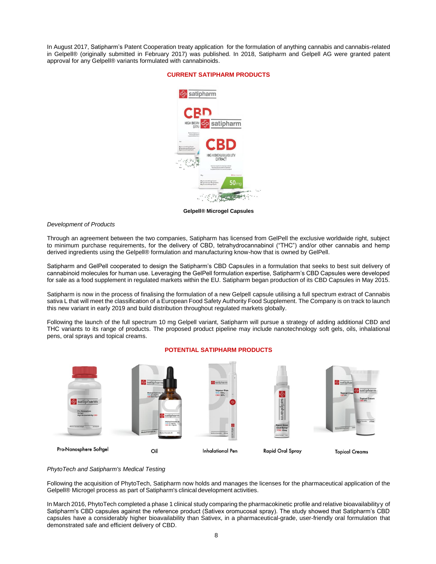In August 2017, Satipharm's Patent Cooperation treaty application for the formulation of anything cannabis and cannabis-related in Gelpell® (originally submitted in February 2017) was published. In 2018, Satipharm and Gelpell AG were granted patent approval for any Gelpell® variants formulated with cannabinoids.

#### **CURRENT SATIPHARM PRODUCTS**



**Gelpell® Microgel Capsules**

#### *Development of Products*

Through an agreement between the two companies, Satipharm has licensed from GelPell the exclusive worldwide right, subject to minimum purchase requirements, for the delivery of CBD, tetrahydrocannabinol ("THC") and/or other cannabis and hemp derived ingredients using the Gelpell® formulation and manufacturing know-how that is owned by GelPell.

Satipharm and GelPell cooperated to design the Satipharm's CBD Capsules in a formulation that seeks to best suit delivery of cannabinoid molecules for human use. Leveraging the GelPell formulation expertise, Satipharm's CBD Capsules were developed for sale as a food supplement in regulated markets within the EU. Satipharm began production of its CBD Capsules in May 2015.

Satipharm is now in the process of finalising the formulation of a new Gelpell capsule utilising a full spectrum extract of Cannabis sativa L that will meet the classification of a European Food Safety Authority Food Supplement. The Company is on track to launch this new variant in early 2019 and build distribution throughout regulated markets globally.

Following the launch of the full spectrum 10 mg Gelpell variant, Satipharm will pursue a strategy of adding additional CBD and THC variants to its range of products. The proposed product pipeline may include nanotechnology soft gels, oils, inhalational pens, oral sprays and topical creams.



#### **POTENTIAL SATIPHARM PRODUCTS**

#### *PhytoTech and Satipharm's Medical Testing*

Following the acquisition of PhytoTech, Satipharm now holds and manages the licenses for the pharmaceutical application of the Gelpell® Microgel process as part of Satipharm's clinical development activities.

In March 2016, PhytoTech completed a phase 1 clinical study comparing the pharmacokinetic profile and relative bioavailabilityy of Satipharm's CBD capsules against the reference product (Sativex oromucosal spray). The study showed that Satipharm's CBD capsules have a considerably higher bioavailability than Sativex, in a pharmaceutical-grade, user-friendly oral formulation that demonstrated safe and efficient delivery of CBD.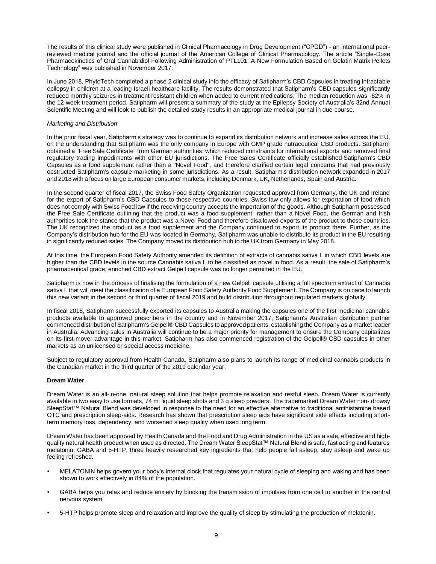The results of this clinical study were published in Clinical Pharmacology in Drug Development ("CPDD") - an international peerreviewed medical journal and the official journal of the American College of Clinical Pharmacology. The article "Single-Dose Pharmacokinetics of Oral Cannabidiol Following Administration of PTL101: A New Formulation Based on Gelatin Matrix Pellets Technology" was published in November 2017.

In June 2018, PhytoTech completed a phase 2 clinical study into the efficacy of Satipharm's CBD Capsules in treating intractable epilepsy in children at a leading Israeli healthcare facility. The results demonstrated that Satipharm's CBD capsules significantly reduced monthly seizures in treatment resistant children when added to current medications. The median reduction was -82% in the 12-week treatment period. Satipharm will present a summary of the study at the Epilepsy Society of Australia's 32nd Annual Scientific Meeting and will look to publish the detailed study results in an appropriate medical journal in due course.

#### *Marketing and Distribution*

In the prior fiscal year, Satipharm's strategy was to continue to expand its distribution network and increase sales across the EU, on the understanding that Satipharm was the only company in Europe with GMP grade nutraceutical CBD products. Satipharm obtained a "Free Sale Certificate" from German authorities, which reduced constraints for international exports and removed final regulatory trading impediments with other EU jurisdictions. The Free Sales Certificate officially established Satipharm's CBD Capsules as a food supplement rather than a "Novel Food", and therefore clarified certain legal concerns that had previously obstructed Satipharm's capsule marketing in some jurisdictions. As a result, Satipharm's distribution network expanded in 2017 and 2018 with a focus on large European consumer markets, including Denmark, UK, Netherlands, Spain and Austria.

In the second quarter of fiscal 2017, the Swiss Food Safety Organization requested approval from Germany, the UK and Ireland for the export of Satipharm's CBD Capsules to those respective countries. Swiss law only allows for exportation of food which does not comply with Swiss Food law if the receiving country accepts the importation of the goods. Although Satipharm possessed the Free Sale Certificate outlining that the product was a food supplement, rather than a Novel Food, the German and Irish authorities took the stance that the product was a Novel Food and therefore disallowed exports of the product to those countries. The UK recognized the product as a food supplement and the Company continued to export its product there. Further, as the Company's distribution hub for the EU was located in Germany, Satipharm was unable to distribute its product in the EU resulting in significantly reduced sales. The Company moved its distribution hub to the UK from Germany in May 2018.

At this time, the European Food Safety Authority amended its definition of extracts of cannabis sativa L in which CBD levels are higher than the CBD levels in the source Cannabis sativa L to be classified as novel in food. As a result, the sale of Satipharm's pharmaceutical grade, enriched CBD extract Gelpell capsule was no longer permitted in the EU.

Satipharm is now in the process of finalising the formulation of a new Gelpell capsule utilising a full spectrum extract of Cannabis sativa L that will meet the classification of a European Food Safety Authority Food Supplement. The Company is on pace to launch this new variant in the second or third quarter of fiscal 2019 and build distribution throughout regulated markets globally.

In fiscal 2018, Satipharm successfully exported its capsules to Australia making the capsules one of the first medicinal cannabis products available to approved prescribers in the country and in November 2017, Satipharm's Australian distribution partner commenced distribution of Satipharm's Gelpell® CBD Capsules to approved patients, establishing the Company as a market leader in Australia. Advancing sales in Australia will continue to be a major priority for management to ensure the Company capitalizes on its first-mover advantage in this market. Satipharm has also commenced registration of the Gelpell® CBD capsules in other markets as an unlicensed or special access medicine.

Subject to regulatory approval from Health Canada, Satipharm also plans to launch its range of medicinal cannabis products in the Canadian market in the third quarter of the 2019 calendar year.

#### **Dream Water**

Dream Water is an all-in-one, natural sleep solution that helps promote relaxation and restful sleep. Dream Water is currently available in two easy to use formats, 74 ml liquid sleep shots and 3 g sleep powders. The trademarked Dream Water non- drowsy SleepStat™ Natural Blend was developed in response to the need for an effective alternative to traditional antihistamine based OTC and prescription sleep-aids. Research has shown that prescription sleep aids have significant side effects including shortterm memory loss, dependency, and worsened sleep quality when used long term.

Dream Water has been approved by Health Canada and the Food and Drug Administration in the US as a safe, effective and highquality natural health product when used as directed. The Dream Water SleepStat™ Natural Blend is safe, fast acting and features melatonin, GABA and 5-HTP, three heavily researched key ingredients that help people fall asleep, stay asleep and wake up feeling refreshed.

- MELATONIN helps govern your body's internal clock that regulates your natural cycle of sleeping and waking and has been shown to work effectively in 84% of the population.
- GABA helps you relax and reduce anxiety by blocking the transmission of impulses from one cell to another in the central nervous system.
- 5-HTP helps promote sleep and relaxation and improve the quality of sleep by stimulating the production of melatonin.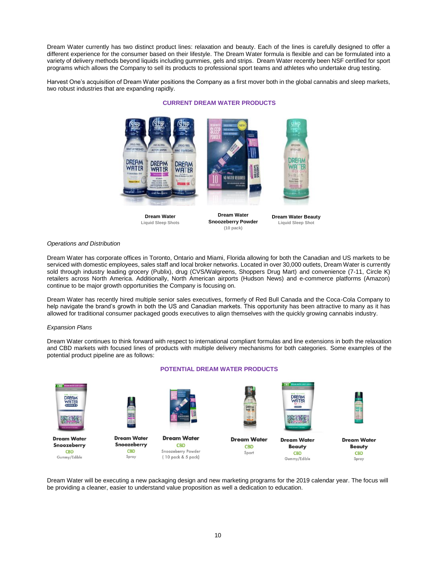Dream Water currently has two distinct product lines: relaxation and beauty. Each of the lines is carefully designed to offer a different experience for the consumer based on their lifestyle. The Dream Water formula is flexible and can be formulated into a variety of delivery methods beyond liquids including gummies, gels and strips. Dream Water recently been NSF certified for sport programs which allows the Company to sell its products to professional sport teams and athletes who undertake drug testing.

Harvest One's acquisition of Dream Water positions the Company as a first mover both in the global cannabis and sleep markets, two robust industries that are expanding rapidly.

**CURRENT DREAM WATER PRODUCTS**



**Dream Water Liquid Sleep Shots**

**Dream Water Snoozeberry Powder (10 pack)**

**Dream Water Beauty Liquid Sleep Shot**

#### *Operations and Distribution*

Dream Water has corporate offices in Toronto, Ontario and Miami, Florida allowing for both the Canadian and US markets to be serviced with domestic employees, sales staff and local broker networks. Located in over 30,000 outlets, Dream Water is currently sold through industry leading grocery (Publix), drug (CVS/Walgreens, Shoppers Drug Mart) and convenience (7-11, Circle K) retailers across North America. Additionally, North American airports (Hudson News) and e-commerce platforms (Amazon) continue to be major growth opportunities the Company is focusing on.

Dream Water has recently hired multiple senior sales executives, formerly of Red Bull Canada and the Coca-Cola Company to help navigate the brand's growth in both the US and Canadian markets. This opportunity has been attractive to many as it has allowed for traditional consumer packaged goods executives to align themselves with the quickly growing cannabis industry.

#### *Expansion Plans*

Dream Water continues to think forward with respect to international compliant formulas and line extensions in both the relaxation and CBD markets with focused lines of products with multiple delivery mechanisms for both categories. Some examples of the potential product pipeline are as follows:



#### **POTENTIAL DREAM WATER PRODUCTS**

Dream Water will be executing a new packaging design and new marketing programs for the 2019 calendar year. The focus will be providing a cleaner, easier to understand value proposition as well a dedication to education.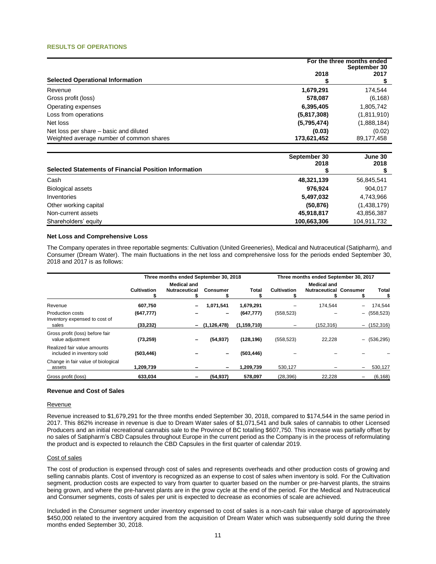#### **RESULTS OF OPERATIONS**

|                                          | For the three months ended<br>September 30 |             |  |
|------------------------------------------|--------------------------------------------|-------------|--|
| <b>Selected Operational Information</b>  | 2018                                       | 2017        |  |
| Revenue                                  | 1,679,291                                  | 174,544     |  |
| Gross profit (loss)                      | 578,087                                    | (6, 168)    |  |
| Operating expenses                       | 6,395,405                                  | 1,805,742   |  |
| Loss from operations                     | (5,817,308)                                | (1,811,910) |  |
| Net loss                                 | (5,795,474)                                | (1,888,184) |  |
| Net loss per share – basic and diluted   | (0.03)                                     | (0.02)      |  |
| Weighted average number of common shares | 173,621,452                                | 89,177,458  |  |

| <b>Selected Statements of Financial Position Information</b> | September 30<br>2018 | June 30<br>2018 |
|--------------------------------------------------------------|----------------------|-----------------|
| Cash                                                         | 48,321,139           | 56,845,541      |
| <b>Biological assets</b>                                     | 976.924              | 904,017         |
| Inventories                                                  | 5,497,032            | 4,743,966       |
| Other working capital                                        | (50, 876)            | (1,438,179)     |
| Non-current assets                                           | 45,918,817           | 43,856,387      |
| Shareholders' equity                                         | 100,663,306          | 104,911,732     |

#### **Net Loss and Comprehensive Loss**

The Company operates in three reportable segments: Cultivation (United Greeneries), Medical and Nutraceutical (Satipharm), and Consumer (Dream Water). The main fluctuations in the net loss and comprehensive loss for the periods ended September 30, 2018 and 2017 is as follows:

|                                                           | Three months ended September 30, 2018 |                          |                 | Three months ended September 30, 2017 |                    |                               |                          |               |
|-----------------------------------------------------------|---------------------------------------|--------------------------|-----------------|---------------------------------------|--------------------|-------------------------------|--------------------------|---------------|
|                                                           | <b>Medical and</b>                    |                          |                 | <b>Medical and</b>                    |                    |                               |                          |               |
|                                                           | Cultivation                           | <b>Nutraceutical</b>     | <b>Consumer</b> | Total                                 | <b>Cultivation</b> | <b>Nutraceutical Consumer</b> |                          | <b>Total</b>  |
| Revenue                                                   | 607,750                               | -                        | 1,071,541       | 1,679,291                             |                    | 174.544                       | $\overline{\phantom{0}}$ | 174,544       |
| Production costs<br>Inventory expensed to cost of         | (647, 777)                            |                          | -               | (647, 777)                            | (558, 523)         |                               | -                        | (558, 523)    |
| sales                                                     | (33, 232)                             | $\overline{\phantom{0}}$ | (1, 126, 478)   | (1, 159, 710)                         |                    | (152, 316)                    |                          | $-$ (152,316) |
| Gross profit (loss) before fair<br>value adjustment       | (73, 259)                             |                          | (54, 937)       | (128, 196)                            | (558, 523)         | 22,228                        |                          | $-$ (536,295) |
| Realized fair value amounts<br>included in inventory sold | (503, 446)                            |                          |                 | (503, 446)                            |                    |                               |                          |               |
| Change in fair value of biological<br>assets              | 1,209,739                             |                          |                 | 1,209,739                             | 530.127            |                               | -                        | 530,127       |
| Gross profit (loss)                                       | 633,034                               |                          | (54, 937)       | 578,097                               | (28, 396)          | 22,228                        |                          | (6, 168)      |

#### **Revenue and Cost of Sales**

#### Revenue

Revenue increased to \$1,679,291 for the three months ended September 30, 2018, compared to \$174,544 in the same period in 2017. This 862% increase in revenue is due to Dream Water sales of \$1,071,541 and bulk sales of cannabis to other Licensed Producers and an initial recreational cannabis sale to the Province of BC totalling \$607,750. This increase was partially offset by no sales of Satipharm's CBD Capsules throughout Europe in the current period as the Company is in the process of reformulating the product and is expected to relaunch the CBD Capsules in the first quarter of calendar 2019.

#### Cost of sales

The cost of production is expensed through cost of sales and represents overheads and other production costs of growing and selling cannabis plants. Cost of inventory is recognized as an expense to cost of sales when inventory is sold. For the Cultivation segment, production costs are expected to vary from quarter to quarter based on the number or pre-harvest plants, the strains being grown, and where the pre-harvest plants are in the grow cycle at the end of the period. For the Medical and Nutraceutical and Consumer segments, costs of sales per unit is expected to decrease as economies of scale are achieved.

Included in the Consumer segment under inventory expensed to cost of sales is a non-cash fair value charge of approximately \$450,000 related to the inventory acquired from the acquisition of Dream Water which was subsequently sold during the three months ended September 30, 2018.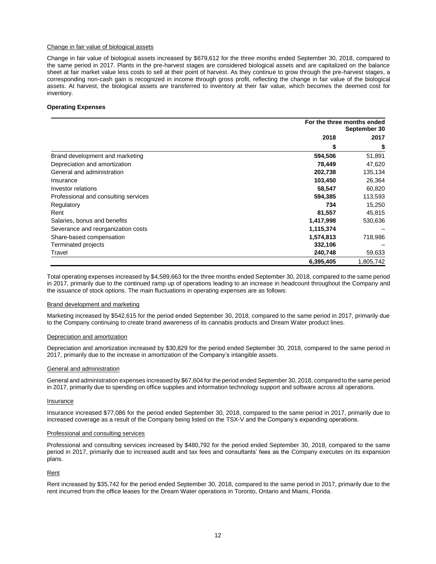#### Change in fair value of biological assets

Change in fair value of biological assets increased by \$679,612 for the three months ended September 30, 2018, compared to the same period in 2017. Plants in the pre-harvest stages are considered biological assets and are capitalized on the balance sheet at fair market value less costs to sell at their point of harvest. As they continue to grow through the pre-harvest stages, a corresponding non-cash gain is recognized in income through gross profit, reflecting the change in fair value of the biological assets. At harvest, the biological assets are transferred to inventory at their fair value, which becomes the deemed cost for inventory.

#### **Operating Expenses**

|                                      | For the three months ended<br>September 30 |           |
|--------------------------------------|--------------------------------------------|-----------|
|                                      | 2018                                       | 2017      |
|                                      | S                                          | \$        |
| Brand development and marketing      | 594,506                                    | 51,891    |
| Depreciation and amortization        | 78,449                                     | 47,620    |
| General and administration           | 202,738                                    | 135,134   |
| Insurance                            | 103,450                                    | 26,364    |
| Investor relations                   | 58,547                                     | 60,820    |
| Professional and consulting services | 594,385                                    | 113,593   |
| Regulatory                           | 734                                        | 15,250    |
| Rent                                 | 81,557                                     | 45,815    |
| Salaries, bonus and benefits         | 1,417,998                                  | 530,636   |
| Severance and reorganization costs   | 1,115,374                                  |           |
| Share-based compensation             | 1,574,813                                  | 718,986   |
| Terminated projects                  | 332,106                                    |           |
| Travel                               | 240,748                                    | 59,633    |
|                                      | 6,395,405                                  | 1,805,742 |

Total operating expenses increased by \$4,589,663 for the three months ended September 30, 2018, compared to the same period in 2017, primarily due to the continued ramp up of operations leading to an increase in headcount throughout the Company and the issuance of stock options. The main fluctuations in operating expenses are as follows:

#### Brand development and marketing

Marketing increased by \$542,615 for the period ended September 30, 2018, compared to the same period in 2017, primarily due to the Company continuing to create brand awareness of its cannabis products and Dream Water product lines.

#### Depreciation and amortization

Depreciation and amortization increased by \$30,829 for the period ended September 30, 2018, compared to the same period in 2017, primarily due to the increase in amortization of the Company's intangible assets.

#### General and administration

General and administration expenses increased by \$67,604 for the period ended September 30, 2018, compared to the same period in 2017, primarily due to spending on office supplies and information technology support and software across all operations.

#### Insurance

Insurance increased \$77,086 for the period ended September 30, 2018, compared to the same period in 2017, primarily due to increased coverage as a result of the Company being listed on the TSX-V and the Company's expanding operations.

#### Professional and consulting services

Professional and consulting services increased by \$480,792 for the period ended September 30, 2018, compared to the same period in 2017, primarily due to increased audit and tax fees and consultants' fees as the Company executes on its expansion plans.

#### Rent

Rent increased by \$35,742 for the period ended September 30, 2018, compared to the same period in 2017, primarily due to the rent incurred from the office leases for the Dream Water operations in Toronto, Ontario and Miami, Florida.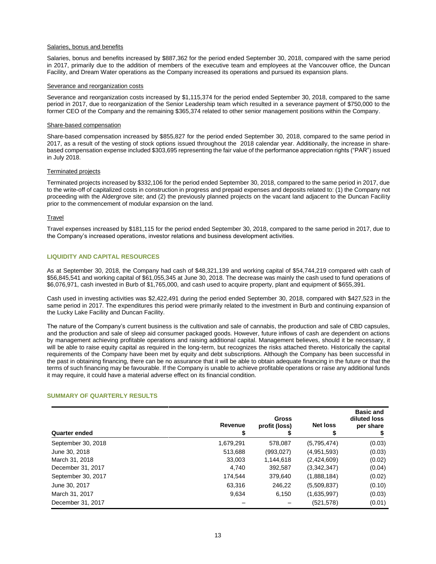#### Salaries, bonus and benefits

Salaries, bonus and benefits increased by \$887,362 for the period ended September 30, 2018, compared with the same period in 2017, primarily due to the addition of members of the executive team and employees at the Vancouver office, the Duncan Facility, and Dream Water operations as the Company increased its operations and pursued its expansion plans.

#### Severance and reorganization costs

Severance and reorganization costs increased by \$1,115,374 for the period ended September 30, 2018, compared to the same period in 2017, due to reorganization of the Senior Leadership team which resulted in a severance payment of \$750,000 to the former CEO of the Company and the remaining \$365,374 related to other senior management positions within the Company.

#### Share-based compensation

Share-based compensation increased by \$855,827 for the period ended September 30, 2018, compared to the same period in 2017, as a result of the vesting of stock options issued throughout the 2018 calendar year. Additionally, the increase in sharebased compensation expense included \$303,695 representing the fair value of the performance appreciation rights ("PAR") issued in July 2018.

#### Terminated projects

Terminated projects increased by \$332,106 for the period ended September 30, 2018, compared to the same period in 2017, due to the write-off of capitalized costs in construction in progress and prepaid expenses and deposits related to: (1) the Company not proceeding with the Aldergrove site; and (2) the previously planned projects on the vacant land adjacent to the Duncan Facility prior to the commencement of modular expansion on the land.

#### **Travel**

Travel expenses increased by \$181,115 for the period ended September 30, 2018, compared to the same period in 2017, due to the Company's increased operations, investor relations and business development activities.

#### **LIQUIDITY AND CAPITAL RESOURCES**

As at September 30, 2018, the Company had cash of \$48,321,139 and working capital of \$54,744,219 compared with cash of \$56,845,541 and working capital of \$61,055,345 at June 30, 2018. The decrease was mainly the cash used to fund operations of \$6,076,971, cash invested in Burb of \$1,765,000, and cash used to acquire property, plant and equipment of \$655,391.

Cash used in investing activities was \$2,422,491 during the period ended September 30, 2018, compared with \$427,523 in the same period in 2017. The expenditures this period were primarily related to the investment in Burb and continuing expansion of the Lucky Lake Facility and Duncan Facility.

The nature of the Company's current business is the cultivation and sale of cannabis, the production and sale of CBD capsules, and the production and sale of sleep aid consumer packaged goods. However, future inflows of cash are dependent on actions by management achieving profitable operations and raising additional capital. Management believes, should it be necessary, it will be able to raise equity capital as required in the long-term, but recognizes the risks attached thereto. Historically the capital requirements of the Company have been met by equity and debt subscriptions. Although the Company has been successful in the past in obtaining financing, there can be no assurance that it will be able to obtain adequate financing in the future or that the terms of such financing may be favourable. If the Company is unable to achieve profitable operations or raise any additional funds it may require, it could have a material adverse effect on its financial condition.

#### **SUMMARY OF QUARTERLY RESULTS**

| <b>Quarter ended</b> | Revenue<br>\$ | <b>Gross</b><br>profit (loss) | <b>Net loss</b> | <b>Basic and</b><br>diluted loss<br>per share |
|----------------------|---------------|-------------------------------|-----------------|-----------------------------------------------|
| September 30, 2018   | 1,679,291     | 578.087                       | (5,795,474)     | (0.03)                                        |
| June 30, 2018        | 513,688       | (993, 027)                    | (4,951,593)     | (0.03)                                        |
| March 31, 2018       | 33,003        | 1,144,618                     | (2,424,609)     | (0.02)                                        |
| December 31, 2017    | 4.740         | 392,587                       | (3,342,347)     | (0.04)                                        |
| September 30, 2017   | 174.544       | 379,640                       | (1,888,184)     | (0.02)                                        |
| June 30, 2017        | 63,316        | 246,22                        | (5,509,837)     | (0.10)                                        |
| March 31, 2017       | 9,634         | 6,150                         | (1,635,997)     | (0.03)                                        |
| December 31, 2017    |               |                               | (521, 578)      | (0.01)                                        |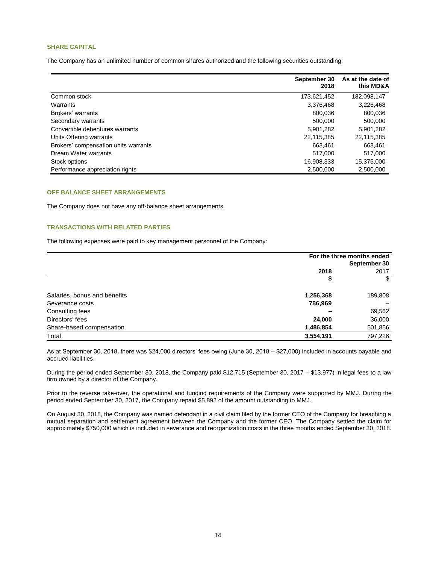#### **SHARE CAPITAL**

The Company has an unlimited number of common shares authorized and the following securities outstanding:

|                                      | September 30<br>2018 | As at the date of<br>this MD&A |
|--------------------------------------|----------------------|--------------------------------|
| Common stock                         | 173,621,452          | 182,098,147                    |
| Warrants                             | 3,376,468            | 3,226,468                      |
| Brokers' warrants                    | 800,036              | 800,036                        |
| Secondary warrants                   | 500,000              | 500,000                        |
| Convertible debentures warrants      | 5,901,282            | 5,901,282                      |
| Units Offering warrants              | 22,115,385           | 22,115,385                     |
| Brokers' compensation units warrants | 663.461              | 663,461                        |
| Dream Water warrants                 | 517.000              | 517,000                        |
| Stock options                        | 16,908,333           | 15,375,000                     |
| Performance appreciation rights      | 2,500,000            | 2,500,000                      |

### **OFF BALANCE SHEET ARRANGEMENTS**

The Company does not have any off-balance sheet arrangements.

#### **TRANSACTIONS WITH RELATED PARTIES**

The following expenses were paid to key management personnel of the Company:

|                              | For the three months ended<br>September 30 |         |  |
|------------------------------|--------------------------------------------|---------|--|
|                              | 2018                                       | 2017    |  |
|                              |                                            | \$      |  |
| Salaries, bonus and benefits | 1,256,368                                  | 189,808 |  |
| Severance costs              | 786,969                                    |         |  |
| Consulting fees              |                                            | 69,562  |  |
| Directors' fees              | 24,000                                     | 36,000  |  |
| Share-based compensation     | 1,486,854                                  | 501,856 |  |
| Total                        | 3,554,191                                  | 797,226 |  |

As at September 30, 2018, there was \$24,000 directors' fees owing (June 30, 2018 – \$27,000) included in accounts payable and accrued liabilities.

During the period ended September 30, 2018, the Company paid \$12,715 (September 30, 2017 – \$13,977) in legal fees to a law firm owned by a director of the Company.

Prior to the reverse take-over, the operational and funding requirements of the Company were supported by MMJ. During the period ended September 30, 2017, the Company repaid \$5,892 of the amount outstanding to MMJ.

On August 30, 2018, the Company was named defendant in a civil claim filed by the former CEO of the Company for breaching a mutual separation and settlement agreement between the Company and the former CEO. The Company settled the claim for approximately \$750,000 which is included in severance and reorganization costs in the three months ended September 30, 2018.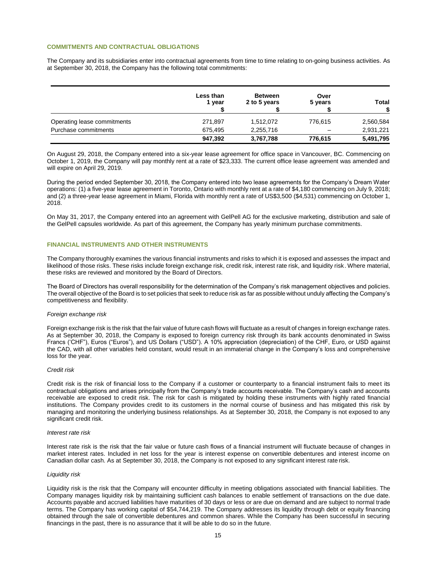#### **COMMITMENTS AND CONTRACTUAL OBLIGATIONS**

The Company and its subsidiaries enter into contractual agreements from time to time relating to on-going business activities. As at September 30, 2018, the Company has the following total commitments:

|                             | Less than<br>1 vear | <b>Between</b><br>2 to 5 years | Over<br>5 years | Total     |
|-----------------------------|---------------------|--------------------------------|-----------------|-----------|
| Operating lease commitments | 271,897             | 1,512,072                      | 776.615         | 2,560,584 |
| Purchase commitments        | 675,495             | 2,255,716                      |                 | 2,931,221 |
|                             | 947,392             | 3,767,788                      | 776,615         | 5,491,795 |

On August 29, 2018, the Company entered into a six-year lease agreement for office space in Vancouver, BC. Commencing on October 1, 2019, the Company will pay monthly rent at a rate of \$23,333. The current office lease agreement was amended and will expire on April 29, 2019.

During the period ended September 30, 2018, the Company entered into two lease agreements for the Company's Dream Water operations: (1) a five-year lease agreement in Toronto, Ontario with monthly rent at a rate of \$4,180 commencing on July 9, 2018; and (2) a three-year lease agreement in Miami, Florida with monthly rent a rate of US\$3,500 (\$4,531) commencing on October 1, 2018.

On May 31, 2017, the Company entered into an agreement with GelPell AG for the exclusive marketing, distribution and sale of the GelPell capsules worldwide. As part of this agreement, the Company has yearly minimum purchase commitments.

#### **FINANCIAL INSTRUMENTS AND OTHER INSTRUMENTS**

The Company thoroughly examines the various financial instruments and risks to which it is exposed and assesses the impact and likelihood of those risks. These risks include foreign exchange risk, credit risk, interest rate risk, and liquidity risk. Where material, these risks are reviewed and monitored by the Board of Directors.

The Board of Directors has overall responsibility for the determination of the Company's risk management objectives and policies. The overall objective of the Board is to set policies that seek to reduce risk as far as possible without unduly affecting the Company's competitiveness and flexibility.

#### *Foreign exchange risk*

Foreign exchange risk is the risk that the fair value of future cash flows will fluctuate as a result of changes in foreign exchange rates. As at September 30, 2018, the Company is exposed to foreign currency risk through its bank accounts denominated in Swiss Francs ('CHF"), Euros ("Euros"), and US Dollars ("USD"). A 10% appreciation (depreciation) of the CHF, Euro, or USD against the CAD, with all other variables held constant, would result in an immaterial change in the Company's loss and comprehensive loss for the year.

#### *Credit risk*

Credit risk is the risk of financial loss to the Company if a customer or counterparty to a financial instrument fails to meet its contractual obligations and arises principally from the Company's trade accounts receivable. The Company's cash and accounts receivable are exposed to credit risk. The risk for cash is mitigated by holding these instruments with highly rated financial institutions. The Company provides credit to its customers in the normal course of business and has mitigated this risk by managing and monitoring the underlying business relationships. As at September 30, 2018, the Company is not exposed to any significant credit risk.

#### *Interest rate risk*

Interest rate risk is the risk that the fair value or future cash flows of a financial instrument will fluctuate because of changes in market interest rates. Included in net loss for the year is interest expense on convertible debentures and interest income on Canadian dollar cash. As at September 30, 2018, the Company is not exposed to any significant interest rate risk.

#### *Liquidity risk*

Liquidity risk is the risk that the Company will encounter difficulty in meeting obligations associated with financial liabilities. The Company manages liquidity risk by maintaining sufficient cash balances to enable settlement of transactions on the due date. Accounts payable and accrued liabilities have maturities of 30 days or less or are due on demand and are subject to normal trade terms. The Company has working capital of \$54,744,219. The Company addresses its liquidity through debt or equity financing obtained through the sale of convertible debentures and common shares. While the Company has been successful in securing financings in the past, there is no assurance that it will be able to do so in the future.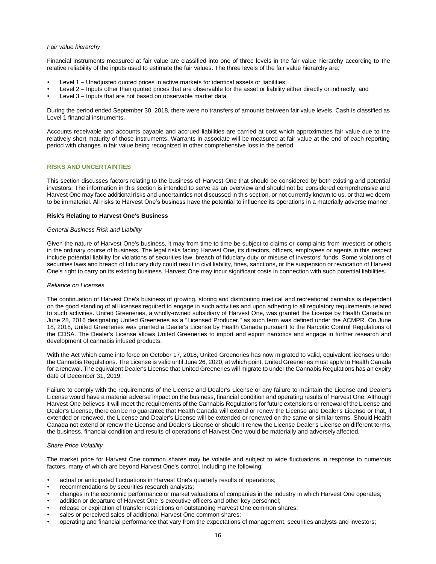#### *Fair value hierarchy*

Financial instruments measured at fair value are classified into one of three levels in the fair value hierarchy according to the relative reliability of the inputs used to estimate the fair values. The three levels of the fair value hierarchy are:

- Level 1 Unadjusted quoted prices in active markets for identical assets or liabilities;
- Level 2 Inputs other than quoted prices that are observable for the asset or liability either directly or indirectly; and
- Level 3 Inputs that are not based on observable market data.

During the period ended September 30, 2018, there were no transfers of amounts between fair value levels. Cash is classified as Level 1 financial instruments.

Accounts receivable and accounts payable and accrued liabilities are carried at cost which approximates fair value due to the relatively short maturity of those instruments. Warrants in associate will be measured at fair value at the end of each reporting period with changes in fair value being recognized in other comprehensive loss in the period.

#### **RISKS AND UNCERTAINTIES**

This section discusses factors relating to the business of Harvest One that should be considered by both existing and potential investors. The information in this section is intended to serve as an overview and should not be considered comprehensive and Harvest One may face additional risks and uncertainties not discussed in this section, or not currently known to us, or that we deem to be immaterial. All risks to Harvest One's business have the potential to influence its operations in a materially adverse manner.

#### **Risk's Relating to Harvest One's Business**

#### *General Business Risk and Liability*

Given the nature of Harvest One's business, it may from time to time be subject to claims or complaints from investors or others in the ordinary course of business. The legal risks facing Harvest One, its directors, officers, employees or agents in this respect include potential liability for violations of securities law, breach of fiduciary duty or misuse of investors' funds. Some violations of securities laws and breach of fiduciary duty could result in civil liability, fines, sanctions, or the suspension or revocation of Harvest One's right to carry on its existing business. Harvest One may incur significant costs in connection with such potential liabilities.

#### *Reliance on Licenses*

The continuation of Harvest One's business of growing, storing and distributing medical and recreational cannabis is dependent on the good standing of all licenses required to engage in such activities and upon adhering to all regulatory requirements related to such activities. United Greeneries, a wholly-owned subsidiary of Harvest One, was granted the License by Health Canada on June 28, 2016 designating United Greeneries as a "Licensed Producer," as such term was defined under the ACMPR. On June 18, 2018, United Greeneries was granted a Dealer's License by Health Canada pursuant to the Narcotic Control Regulations of the CDSA. The Dealer's License allows United Greeneries to import and export narcotics and engage in further research and development of cannabis infused products.

With the Act which came into force on October 17, 2018, United Greeneries has now migrated to valid, equivalent licenses under the Cannabis Regulations. The License is valid until June 26, 2020, at which point, United Greeneries must apply to Health Canada for arenewal. The equivalent Dealer's License that United Greeneries will migrate to under the Cannabis Regulations has an expiry date of December 31, 2019.

Failure to comply with the requirements of the License and Dealer's License or any failure to maintain the License and Dealer's License would have a material adverse impact on the business, financial condition and operating results of Harvest One. Although Harvest One believes it will meet the requirements of the Cannabis Regulations for future extensions or renewal of the License and Dealer's License, there can be no guarantee that Health Canada will extend or renew the License and Dealer's License or that, if extended or renewed, the License and Dealer's License will be extended or renewed on the same or similar terms. Should Health Canada not extend or renew the License and Dealer's License or should it renew the License Dealer's License on different terms, the business, financial condition and results of operations of Harvest One would be materially and adversely affected.

#### *Share Price Volatility*

The market price for Harvest One common shares may be volatile and subject to wide fluctuations in response to numerous factors, many of which are beyond Harvest One's control, including the following:

- actual or anticipated fluctuations in Harvest One's quarterly results of operations;
- recommendations by securities research analysts:
- changes in the economic performance or market valuations of companies in the industry in which Harvest One operates;
- addition or departure of Harvest One 's executive officers and other key personnel;
- release or expiration of transfer restrictions on outstanding Harvest One common shares;
- sales or perceived sales of additional Harvest One common shares;
- operating and financial performance that vary from the expectations of management, securities analysts and investors;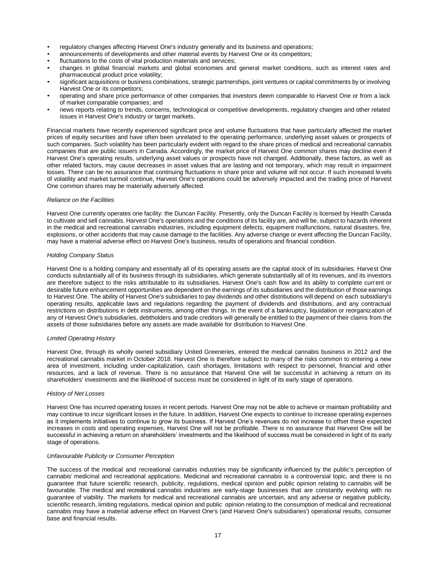- regulatory changes affecting Harvest One's industry generally and its business and operations;
- announcements of developments and other material events by Harvest One or its competitors;
- fluctuations to the costs of vital production materials and services;
- changes in global financial markets and global economies and general market conditions, such as interest rates and pharmaceutical product price volatility;
- significant acquisitions or business combinations, strategic partnerships, joint ventures or capital commitments by or involving Harvest One or its competitors;
- operating and share price performance of other companies that investors deem comparable to Harvest One or from a lack of market comparable companies; and
- news reports relating to trends, concerns, technological or competitive developments, regulatory changes and other related issues in Harvest One's industry or target markets.

Financial markets have recently experienced significant price and volume fluctuations that have particularly affected the market prices of equity securities and have often been unrelated to the operating performance, underlying asset values or prospects of such companies. Such volatility has been particularly evident with regard to the share prices of medical and recreational cannabis companies that are public issuers in Canada. Accordingly, the market price of Harvest One common shares may decline even if Harvest One's operating results, underlying asset values or prospects have not changed. Additionally, these factors, as well as other related factors, may cause decreases in asset values that are lasting and not temporary, which may result in impairment losses. There can be no assurance that continuing fluctuations in share price and volume will not occur. If such increased levels of volatility and market turmoil continue, Harvest One's operations could be adversely impacted and the trading price of Harvest One common shares may be materially adversely affected.

#### *Reliance on the Facilities*

Harvest One currently operates one facility: the Duncan Facility. Presently, only the Duncan Facility is licensed by Health Canada to cultivate and sell cannabis. Harvest One's operations and the conditions of its facility are, and will be, subject to hazards inherent in the medical and recreational cannabis industries, including equipment defects, equipment malfunctions, natural disasters, fire, explosions, or other accidents that may cause damage to the facilities. Any adverse change or event affecting the Duncan Facility, may have a material adverse effect on Harvest One's business, results of operations and financial condition.

#### *Holding Company Status*

Harvest One is a holding company and essentially all of its operating assets are the capital stock of its subsidiaries. Harvest One conducts substantially all of its business through its subsidiaries, which generate substantially all of its revenues, and its investors are therefore subject to the risks attributable to its subsidiaries. Harvest One's cash flow and its ability to complete current or desirable future enhancement opportunities are dependent on the earnings of its subsidiaries and the distribution of those earnings to Harvest One. The ability of Harvest One's subsidiaries to pay dividends and other distributions will depend on each subsidiary's operating results, applicable laws and regulations regarding the payment of dividends and distributions, and any contractual restrictions on distributions in debt instruments, among other things. In the event of a bankruptcy, liquidation or reorganization of any of Harvest One's subsidiaries, debtholders and trade creditors will generally be entitled to the payment of their claims from the assets of those subsidiaries before any assets are made available for distribution to Harvest One.

#### *Limited Operating History*

Harvest One, through its wholly owned subsidiary United Greeneries, entered the medical cannabis business in 2012 and the recreational cannabis market in October 2018. Harvest One is therefore subject to many of the risks common to entering a new area of investment, including under-capitalization, cash shortages, limitations with respect to personnel, financial and other resources, and a lack of revenue. There is no assurance that Harvest One will be successful in achieving a return on its shareholders' investments and the likelihood of success must be considered in light of its early stage of operations.

#### *History of Net Losses*

Harvest One has incurred operating losses in recent periods. Harvest One may not be able to achieve or maintain profitability and may continue to incur significant losses in the future. In addition, Harvest One expects to continue to increase operating expenses as it implements initiatives to continue to grow its business. If Harvest One's revenues do not increase to offset these expected increases in costs and operating expenses, Harvest One will not be profitable. There is no assurance that Harvest One will be successful in achieving a return on shareholders' investments and the likelihood of success must be considered in light of its early stage of operations.

#### *Unfavourable Publicity or Consumer Perception*

The success of the medical and recreational cannabis industries may be significantly influenced by the public's perception of cannabis' medicinal and recreational applications. Medicinal and recreational cannabis is a controversial topic, and there is no guarantee that future scientific research, publicity, regulations, medical opinion and public opinion relating to cannabis will be favourable. The medical and recreational cannabis industries are early-stage businesses that are constantly evolving with no guarantee of viability. The markets for medical and recreational cannabis are uncertain, and any adverse or negative publicity, scientific research, limiting regulations, medical opinion and public opinion relating to the consumption of medical and recreational cannabis may have a material adverse effect on Harvest One's (and Harvest One's subsidiaries') operational results, consumer base and financial results.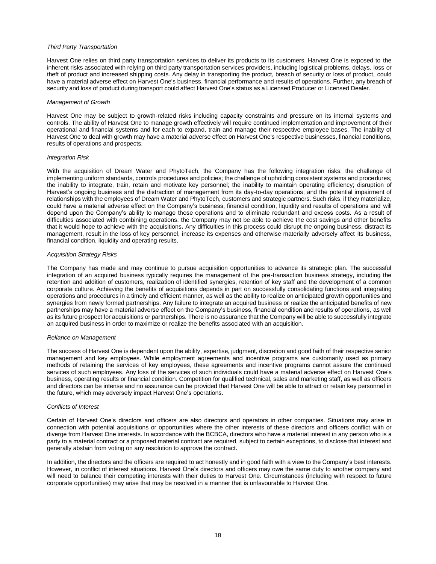#### *Third Party Transportation*

Harvest One relies on third party transportation services to deliver its products to its customers. Harvest One is exposed to the inherent risks associated with relying on third party transportation services providers, including logistical problems, delays, loss or theft of product and increased shipping costs. Any delay in transporting the product, breach of security or loss of product, could have a material adverse effect on Harvest One's business, financial performance and results of operations. Further, any breach of security and loss of product during transport could affect Harvest One's status as a Licensed Producer or Licensed Dealer.

#### *Management of Growth*

Harvest One may be subject to growth-related risks including capacity constraints and pressure on its internal systems and controls. The ability of Harvest One to manage growth effectively will require continued implementation and improvement of their operational and financial systems and for each to expand, train and manage their respective employee bases. The inability of Harvest One to deal with growth may have a material adverse effect on Harvest One's respective businesses, financial conditions, results of operations and prospects.

#### *Integration Risk*

With the acquisition of Dream Water and PhytoTech, the Company has the following integration risks: the challenge of implementing uniform standards, controls procedures and policies; the challenge of upholding consistent systems and procedures; the inability to integrate, train, retain and motivate key personnel; the inability to maintain operating efficiency; disruption of Harvest's ongoing business and the distraction of management from its day-to-day operations; and the potential impairment of relationships with the employees of Dream Water and PhytoTech, customers and strategic partners. Such risks, if they materialize, could have a material adverse effect on the Company's business, financial condition, liquidity and results of operations and will depend upon the Company's ability to manage those operations and to eliminate redundant and excess costs. As a result of difficulties associated with combining operations, the Company may not be able to achieve the cost savings and other benefits that it would hope to achieve with the acquisitions**.** Any difficulties in this process could disrupt the ongoing business, distract its management, result in the loss of key personnel, increase its expenses and otherwise materially adversely affect its business, financial condition, liquidity and operating results.

#### *Acquisition Strategy Risks*

The Company has made and may continue to pursue acquisition opportunities to advance its strategic plan. The successful integration of an acquired business typically requires the management of the pre-transaction business strategy, including the retention and addition of customers, realization of identified synergies, retention of key staff and the development of a common corporate culture. Achieving the benefits of acquisitions depends in part on successfully consolidating functions and integrating operations and procedures in a timely and efficient manner, as well as the ability to realize on anticipated growth opportunities and synergies from newly formed partnerships. Any failure to integrate an acquired business or realize the anticipated benefits of new partnerships may have a material adverse effect on the Company's business, financial condition and results of operations, as well as its future prospect for acquisitions or partnerships. There is no assurance that the Company will be able to successfully integrate an acquired business in order to maximize or realize the benefits associated with an acquisition.

#### *Reliance on Management*

The success of Harvest One is dependent upon the ability, expertise, judgment, discretion and good faith of their respective senior management and key employees. While employment agreements and incentive programs are customarily used as primary methods of retaining the services of key employees, these agreements and incentive programs cannot assure the continued services of such employees. Any loss of the services of such individuals could have a material adverse effect on Harvest One's business, operating results or financial condition. Competition for qualified technical, sales and marketing staff, as well as officers and directors can be intense and no assurance can be provided that Harvest One will be able to attract or retain key personnel in the future, which may adversely impact Harvest One's operations.

#### *Conflicts of Interest*

Certain of Harvest One's directors and officers are also directors and operators in other companies. Situations may arise in connection with potential acquisitions or opportunities where the other interests of these directors and officers conflict with or diverge from Harvest One interests. In accordance with the BCBCA, directors who have a material interest in any person who is a party to a material contract or a proposed material contract are required, subject to certain exceptions, to disclose that interest and generally abstain from voting on any resolution to approve the contract.

In addition, the directors and the officers are required to act honestly and in good faith with a view to the Company's best interests. However, in conflict of interest situations, Harvest One's directors and officers may owe the same duty to another company and will need to balance their competing interests with their duties to Harvest One. Circumstances (including with respect to future corporate opportunities) may arise that may be resolved in a manner that is unfavourable to Harvest One.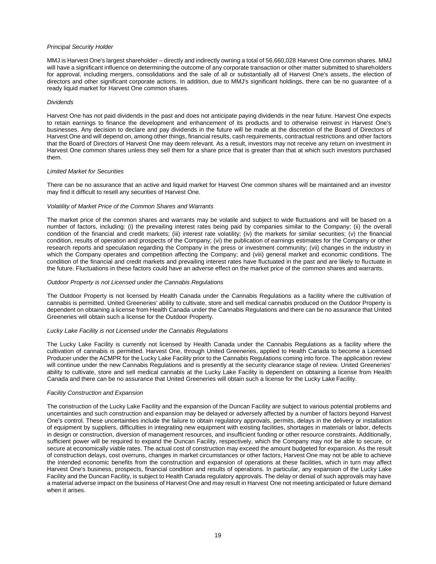#### *Principal Security Holder*

MMJ is Harvest One's largest shareholder – directly and indirectly owning a total of 56,660,028 Harvest One common shares. MMJ will have a significant influence on determining the outcome of any corporate transaction or other matter submitted to shareholders for approval, including mergers, consolidations and the sale of all or substantially all of Harvest One's assets, the election of directors and other significant corporate actions. In addition, due to MMJ's significant holdings, there can be no guarantee of a ready liquid market for Harvest One common shares.

#### *Dividends*

Harvest One has not paid dividends in the past and does not anticipate paying dividends in the near future. Harvest One expects to retain earnings to finance the development and enhancement of its products and to otherwise reinvest in Harvest One's businesses. Any decision to declare and pay dividends in the future will be made at the discretion of the Board of Directors of Harvest One and will depend on, among other things, financial results, cash requirements, contractual restrictions and other factors that the Board of Directors of Harvest One may deem relevant. As a result, investors may not receive any return on investment in Harvest One common shares unless they sell them for a share price that is greater than that at which such investors purchased them.

#### *Limited Market for Securities*

There can be no assurance that an active and liquid market for Harvest One common shares will be maintained and an investor may find it difficult to resell any securities of Harvest One.

#### *Volatility of Market Price of the Common Shares and Warrants*

The market price of the common shares and warrants may be volatile and subject to wide fluctuations and will be based on a number of factors, including: (i) the prevailing interest rates being paid by companies similar to the Company; (ii) the overall condition of the financial and credit markets; (iii) interest rate volatility; (iv) the markets for similar securities; (v) the financial condition, results of operation and prospects of the Company; (vi) the publication of earnings estimates for the Company or other research reports and speculation regarding the Company in the press or investment community; (vii) changes in the industry in which the Company operates and competition affecting the Company; and (viii) general market and economic conditions. The condition of the financial and credit markets and prevailing interest rates have fluctuated in the past and are likely to fluctuate in the future. Fluctuations in these factors could have an adverse effect on the market price of the common shares and warrants.

#### *Outdoor Property is not Licensed under the Cannabis Regulations*

The Outdoor Property is not licensed by Health Canada under the Cannabis Regulations as a facility where the cultivation of cannabis is permitted. United Greeneries' ability to cultivate, store and sell medical cannabis produced on the Outdoor Property is dependent on obtaining a license from Health Canada under the Cannabis Regulations and there can be no assurance that United Greeneries will obtain such a license for the Outdoor Property.

#### *Lucky Lake Facility is not Licensed under the Cannabis Regulations*

The Lucky Lake Facility is currently not licensed by Health Canada under the Cannabis Regulations as a facility where the cultivation of cannabis is permitted. Harvest One, through United Greeneries, applied to Health Canada to become a Licensed Producer under the ACMPR for the Lucky Lake Facility prior to the Cannabis Regulations coming into force. The application review will continue under the new Cannabis Regulations and is presently at the security clearance stage of review. United Greeneries' ability to cultivate, store and sell medical cannabis at the Lucky Lake Facility is dependent on obtaining a license from Health Canada and there can be no assurance that United Greeneries will obtain such a license for the Lucky Lake Facility.

#### *Facility Construction and Expansion*

The construction of the Lucky Lake Facility and the expansion of the Duncan Facility are subject to various potential problems and uncertainties and such construction and expansion may be delayed or adversely affected by a number of factors beyond Harvest One's control. These uncertainties include the failure to obtain regulatory approvals, permits, delays in the delivery or installation of equipment by suppliers, difficulties in integrating new equipment with existing facilities, shortages in materials or labor, defects in design or construction, diversion of management resources, and insufficient funding or other resource constraints. Additionally, sufficient power will be required to expand the Duncan Facility, respectively, which the Company may not be able to secure, or secure at economically viable rates. The actual cost of construction may exceed the amount budgeted for expansion. As the result of construction delays, cost overruns, changes in market circumstances or other factors, Harvest One may not be able to achieve the intended economic benefits from the construction and expansion of operations at these facilities, which in turn may affect Harvest One's business, prospects, financial condition and results of operations. In particular, any expansion of the Lucky Lake Facility and the Duncan Facility, is subject to Health Canada regulatory approvals. The delay or denial of such approvals may have a material adverse impact on the business of Harvest One and may result in Harvest One not meeting anticipated or future demand when it arises.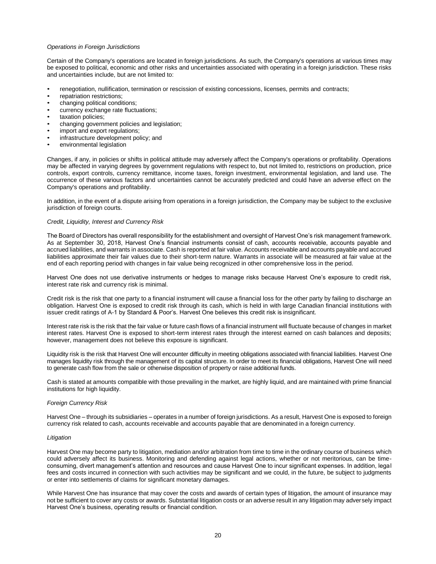#### *Operations in Foreign Jurisdictions*

Certain of the Company's operations are located in foreign jurisdictions. As such, the Company's operations at various times may be exposed to political, economic and other risks and uncertainties associated with operating in a foreign jurisdiction. These risks and uncertainties include, but are not limited to:

- renegotiation, nullification, termination or rescission of existing concessions, licenses, permits and contracts;
- repatriation restrictions;
- changing political conditions;
- currency exchange rate fluctuations;
- taxation policies:
- changing government policies and legislation;
- import and export regulations;
- infrastructure development policy; and
- environmental legislation

Changes, if any, in policies or shifts in political attitude may adversely affect the Company's operations or profitability. Operations may be affected in varying degrees by government regulations with respect to, but not limited to, restrictions on production, price controls, export controls, currency remittance, income taxes, foreign investment, environmental legislation, and land use. The occurrence of these various factors and uncertainties cannot be accurately predicted and could have an adverse effect on the Company's operations and profitability.

In addition, in the event of a dispute arising from operations in a foreign jurisdiction, the Company may be subject to the exclusive jurisdiction of foreign courts.

#### *Credit, Liquidity, Interest and Currency Risk*

The Board of Directors has overall responsibility for the establishment and oversight of Harvest One's risk management framework. As at September 30, 2018, Harvest One's financial instruments consist of cash, accounts receivable, accounts payable and accrued liabilities, and warrants in associate. Cash is reported at fair value. Accounts receivable and accounts payable and accrued liabilities approximate their fair values due to their short-term nature. Warrants in associate will be measured at fair value at the end of each reporting period with changes in fair value being recognized in other comprehensive loss in the period.

Harvest One does not use derivative instruments or hedges to manage risks because Harvest One's exposure to credit risk, interest rate risk and currency risk is minimal.

Credit risk is the risk that one party to a financial instrument will cause a financial loss for the other party by failing to discharge an obligation. Harvest One is exposed to credit risk through its cash, which is held in with large Canadian financial institutions with issuer credit ratings of A-1 by Standard & Poor's. Harvest One believes this credit risk is insignificant.

Interest rate risk is the risk that the fair value or future cash flows of a financial instrument will fluctuate because of changes in market interest rates. Harvest One is exposed to short-term interest rates through the interest earned on cash balances and deposits; however, management does not believe this exposure is significant.

Liquidity risk is the risk that Harvest One will encounter difficulty in meeting obligations associated with financial liabilities. Harvest One manages liquidity risk through the management of its capital structure. In order to meet its financial obligations, Harvest One will need to generate cash flow from the sale or otherwise disposition of property or raise additional funds.

Cash is stated at amounts compatible with those prevailing in the market, are highly liquid, and are maintained with prime financial institutions for high liquidity.

#### *Foreign Currency Risk*

Harvest One – through its subsidiaries – operates in a number of foreign jurisdictions. As a result, Harvest One is exposed to foreign currency risk related to cash, accounts receivable and accounts payable that are denominated in a foreign currency.

#### *Litigation*

Harvest One may become party to litigation, mediation and/or arbitration from time to time in the ordinary course of business which could adversely affect its business. Monitoring and defending against legal actions, whether or not meritorious, can be timeconsuming, divert management's attention and resources and cause Harvest One to incur significant expenses. In addition, legal fees and costs incurred in connection with such activities may be significant and we could, in the future, be subject to judgments or enter into settlements of claims for significant monetary damages.

While Harvest One has insurance that may cover the costs and awards of certain types of litigation, the amount of insurance may not be sufficient to cover any costs or awards. Substantial litigation costs or an adverse result in any litigation may adversely impact Harvest One's business, operating results or financial condition.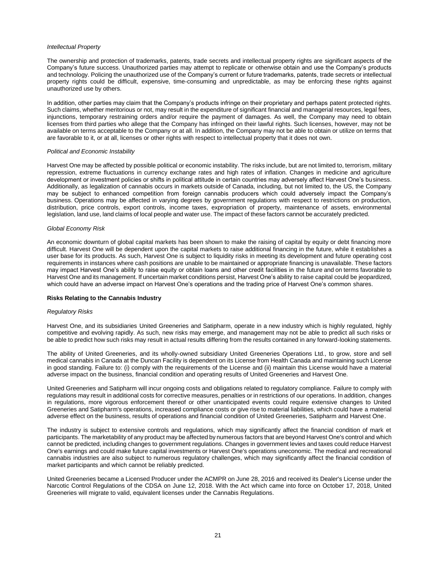#### *Intellectual Property*

The ownership and protection of trademarks, patents, trade secrets and intellectual property rights are significant aspects of the Company's future success. Unauthorized parties may attempt to replicate or otherwise obtain and use the Company's products and technology. Policing the unauthorized use of the Company's current or future trademarks, patents, trade secrets or intellectual property rights could be difficult, expensive, time-consuming and unpredictable, as may be enforcing these rights against unauthorized use by others.

In addition, other parties may claim that the Company's products infringe on their proprietary and perhaps patent protected rights. Such claims, whether meritorious or not, may result in the expenditure of significant financial and managerial resources, legal fees, injunctions, temporary restraining orders and/or require the payment of damages. As well, the Company may need to obtain licenses from third parties who allege that the Company has infringed on their lawful rights. Such licenses, however, may not be available on terms acceptable to the Company or at all. In addition, the Company may not be able to obtain or utilize on terms that are favorable to it, or at all, licenses or other rights with respect to intellectual property that it does not own.

#### *Political and Economic Instability*

Harvest One may be affected by possible political or economic instability. The risks include, but are not limited to, terrorism, military repression, extreme fluctuations in currency exchange rates and high rates of inflation. Changes in medicine and agriculture development or investment policies or shifts in political attitude in certain countries may adversely affect Harvest One's business. Additionally, as legalization of cannabis occurs in markets outside of Canada, including, but not limited to, the US, the Company may be subject to enhanced competition from foreign cannabis producers which could adversely impact the Company's business. Operations may be affected in varying degrees by government regulations with respect to restrictions on production, distribution, price controls, export controls, income taxes, expropriation of property, maintenance of assets, environmental legislation, land use, land claims of local people and water use. The impact of these factors cannot be accurately predicted.

#### *Global Economy Risk*

An economic downturn of global capital markets has been shown to make the raising of capital by equity or debt financing more difficult. Harvest One will be dependent upon the capital markets to raise additional financing in the future, while it establishes a user base for its products. As such, Harvest One is subject to liquidity risks in meeting its development and future operating cost requirements in instances where cash positions are unable to be maintained or appropriate financing is unavailable. These factors may impact Harvest One's ability to raise equity or obtain loans and other credit facilities in the future and on terms favorable to Harvest One and its management. If uncertain market conditions persist, Harvest One's ability to raise capital could be jeopardized, which could have an adverse impact on Harvest One's operations and the trading price of Harvest One's common shares.

#### **Risks Relating to the Cannabis Industry**

#### *Regulatory Risks*

Harvest One, and its subsidiaries United Greeneries and Satipharm, operate in a new industry which is highly regulated, highly competitive and evolving rapidly. As such, new risks may emerge, and management may not be able to predict all such risks or be able to predict how such risks may result in actual results differing from the results contained in any forward-looking statements.

The ability of United Greeneries, and its wholly-owned subsidiary United Greeneries Operations Ltd., to grow, store and sell medical cannabis in Canada at the Duncan Facility is dependent on its License from Health Canada and maintaining such License in good standing. Failure to: (i) comply with the requirements of the License and (ii) maintain this License would have a material adverse impact on the business, financial condition and operating results of United Greeneries and Harvest One.

United Greeneries and Satipharm will incur ongoing costs and obligations related to regulatory compliance. Failure to comply with regulations may result in additional costs for corrective measures, penalties or in restrictions of our operations. In addition, changes in regulations, more vigorous enforcement thereof or other unanticipated events could require extensive changes to United Greeneries and Satipharm's operations, increased compliance costs or give rise to material liabilities, which could have a material adverse effect on the business, results of operations and financial condition of United Greeneries, Satipharm and Harvest One.

The industry is subject to extensive controls and regulations, which may significantly affect the financial condition of mark et participants. The marketability of any product may be affected by numerous factors that are beyond Harvest One's control and which cannot be predicted, including changes to government regulations. Changes in government levies and taxes could reduce Harvest One's earnings and could make future capital investments or Harvest One's operations uneconomic. The medical and recreational cannabis industries are also subject to numerous regulatory challenges, which may significantly affect the financial condition of market participants and which cannot be reliably predicted.

United Greeneries became a Licensed Producer under the ACMPR on June 28, 2016 and received its Dealer's License under the Narcotic Control Regulations of the CDSA on June 12, 2018. With the Act which came into force on October 17, 2018, United Greeneries will migrate to valid, equivalent licenses under the Cannabis Regulations.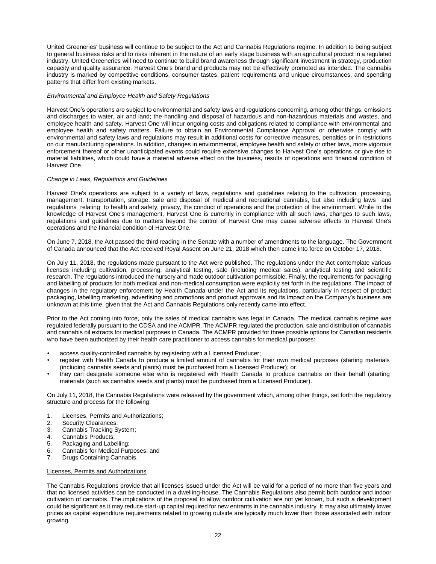United Greeneries' business will continue to be subject to the Act and Cannabis Regulations regime. In addition to being subject to general business risks and to risks inherent in the nature of an early stage business with an agricultural product in a regulated industry, United Greeneries will need to continue to build brand awareness through significant investment in strategy, production capacity and quality assurance. Harvest One's brand and products may not be effectively promoted as intended. The cannabis industry is marked by competitive conditions, consumer tastes, patient requirements and unique circumstances, and spending patterns that differ from existing markets.

#### *Environmental and Employee Health and Safety Regulations*

Harvest One's operations are subject to environmental and safety laws and regulations concerning, among other things, emissions and discharges to water, air and land; the handling and disposal of hazardous and non-hazardous materials and wastes, and employee health and safety. Harvest One will incur ongoing costs and obligations related to compliance with environmental and employee health and safety matters. Failure to obtain an Environmental Compliance Approval or otherwise comply with environmental and safety laws and regulations may result in additional costs for corrective measures, penalties or in restrictions on our manufacturing operations. In addition, changes in environmental, employee health and safety or other laws, more vigorous enforcement thereof or other unanticipated events could require extensive changes to Harvest One's operations or give rise to material liabilities, which could have a material adverse effect on the business, results of operations and financial condition of Harvest One.

#### *Change in Laws, Regulations and Guidelines*

Harvest One's operations are subject to a variety of laws, regulations and guidelines relating to the cultivation, processing, management, transportation, storage, sale and disposal of medical and recreational cannabis, but also including laws and regulations relating to health and safety, privacy, the conduct of operations and the protection of the environment. While to the knowledge of Harvest One's management, Harvest One is currently in compliance with all such laws, changes to such laws, regulations and guidelines due to matters beyond the control of Harvest One may cause adverse effects to Harvest One's operations and the financial condition of Harvest One.

On June 7, 2018, the Act passed the third reading in the Senate with a number of amendments to the language. The Government of Canada announced that the Act received Royal Assent on June 21, 2018 which then came into force on October 17, 2018.

On July 11, 2018, the regulations made pursuant to the Act were published. The regulations under the Act contemplate various licenses including cultivation, processing, analytical testing, sale (including medical sales), analytical testing and scientific research. The regulations introduced the nursery and made outdoor cultivation permissible. Finally, the requirements for packaging and labelling of products for both medical and non-medical consumption were explicitly set forth in the regulations. The impact of changes in the regulatory enforcement by Health Canada under the Act and its regulations, particularly in respect of product packaging, labelling marketing, advertising and promotions and product approvals and its impact on the Company's business are unknown at this time, given that the Act and Cannabis Regulations only recently came into effect.

Prior to the Act coming into force, only the sales of medical cannabis was legal in Canada. The medical cannabis regime was regulated federally pursuant to the CDSA and the ACMPR. The ACMPR regulated the production, sale and distribution of cannabis and cannabis oil extracts for medical purposes in Canada. The ACMPR provided for three possible options for Canadian residents who have been authorized by their health care practitioner to access cannabis for medical purposes:

- access quality-controlled cannabis by registering with a Licensed Producer;
- register with Health Canada to produce a limited amount of cannabis for their own medical purposes (starting materials (including cannabis seeds and plants) must be purchased from a Licensed Producer); or
- they can designate someone else who is registered with Health Canada to produce cannabis on their behalf (starting materials (such as cannabis seeds and plants) must be purchased from a Licensed Producer).

On July 11, 2018, the Cannabis Regulations were released by the government which, among other things, set forth the regulatory structure and process for the following:

- 1. Licenses, Permits and Authorizations;
- 2. Security Clearances;
- 3. Cannabis Tracking System;
- 4. Cannabis Products;
- 5. Packaging and Labelling;
- 6. Cannabis for Medical Purposes; and
- 7. Drugs Containing Cannabis.

#### Licenses, Permits and Authorizations

The Cannabis Regulations provide that all licenses issued under the Act will be valid for a period of no more than five years and that no licensed activities can be conducted in a dwelling-house. The Cannabis Regulations also permit both outdoor and indoor cultivation of cannabis. The implications of the proposal to allow outdoor cultivation are not yet known, but such a development could be significant as it may reduce start-up capital required for new entrants in the cannabis industry. It may also ultimately lower prices as capital expenditure requirements related to growing outside are typically much lower than those associated with indoor growing.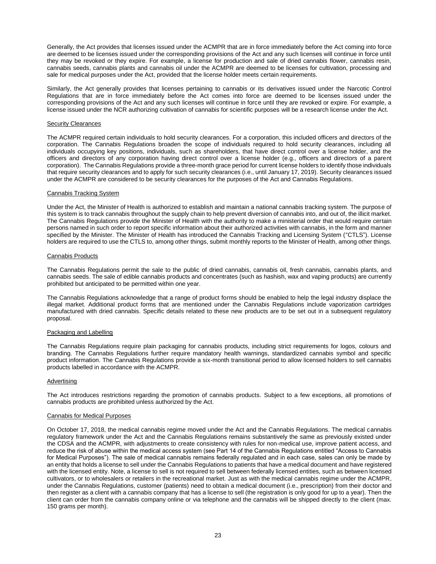Generally, the Act provides that licenses issued under the ACMPR that are in force immediately before the Act coming into force are deemed to be licenses issued under the corresponding provisions of the Act and any such licenses will continue in force until they may be revoked or they expire. For example, a license for production and sale of dried cannabis flower, cannabis resin, cannabis seeds, cannabis plants and cannabis oil under the ACMPR are deemed to be licenses for cultivation, processing and sale for medical purposes under the Act, provided that the license holder meets certain requirements.

Similarly, the Act generally provides that licenses pertaining to cannabis or its derivatives issued under the Narcotic Control Regulations that are in force immediately before the Act comes into force are deemed to be licenses issued under the corresponding provisions of the Act and any such licenses will continue in force until they are revoked or expire. For example, a license issued under the NCR authorizing cultivation of cannabis for scientific purposes will be a research license under the Act.

#### Security Clearances

The ACMPR required certain individuals to hold security clearances. For a corporation, this included officers and directors of the corporation. The Cannabis Regulations broaden the scope of individuals required to hold security clearances, including all individuals occupying key positions, individuals, such as shareholders, that have direct control over a license holder, and the officers and directors of any corporation having direct control over a license holder (e.g., officers and directors of a parent corporation). The Cannabis Regulations provide a three-month grace period for current license holders to identify those individuals that require security clearances and to apply for such security clearances (i.e., until January 17, 2019). Security clearances issued under the ACMPR are considered to be security clearances for the purposes of the Act and Cannabis Regulations.

#### Cannabis Tracking System

Under the Act, the Minister of Health is authorized to establish and maintain a national cannabis tracking system. The purpose of this system is to track cannabis throughout the supply chain to help prevent diversion of cannabis into, and out of, the illicit market. The Cannabis Regulations provide the Minister of Health with the authority to make a ministerial order that would require certain persons named in such order to report specific information about their authorized activities with cannabis, in the form and manner specified by the Minister. The Minister of Health has introduced the Cannabis Tracking and Licensing System ("CTLS"). License holders are required to use the CTLS to, among other things, submit monthly reports to the Minister of Health, among other things.

#### Cannabis Products

The Cannabis Regulations permit the sale to the public of dried cannabis, cannabis oil, fresh cannabis, cannabis plants, and cannabis seeds. The sale of edible cannabis products and concentrates (such as hashish, wax and vaping products) are currently prohibited but anticipated to be permitted within one year.

The Cannabis Regulations acknowledge that a range of product forms should be enabled to help the legal industry displace the illegal market. Additional product forms that are mentioned under the Cannabis Regulations include vaporization cartridges manufactured with dried cannabis. Specific details related to these new products are to be set out in a subsequent regulatory proposal.

#### Packaging and Labelling

The Cannabis Regulations require plain packaging for cannabis products, including strict requirements for logos, colours and branding. The Cannabis Regulations further require mandatory health warnings, standardized cannabis symbol and specific product information. The Cannabis Regulations provide a six-month transitional period to allow licensed holders to sell cannabis products labelled in accordance with the ACMPR.

#### **Advertising**

The Act introduces restrictions regarding the promotion of cannabis products. Subject to a few exceptions, all promotions of cannabis products are prohibited unless authorized by the Act.

#### Cannabis for Medical Purposes

On October 17, 2018, the medical cannabis regime moved under the Act and the Cannabis Regulations. The medical cannabis regulatory framework under the Act and the Cannabis Regulations remains substantively the same as previously existed under the CDSA and the ACMPR, with adjustments to create consistency with rules for non-medical use, improve patient access, and reduce the risk of abuse within the medical access system (see Part 14 of the Cannabis Regulations entitled "Access to Cannabis for Medical Purposes"). The sale of medical cannabis remains federally regulated and in each case, sales can only be made by an entity that holds a license to sell under the Cannabis Regulations to patients that have a medical document and have registered with the licensed entity. Note, a license to sell is not required to sell between federally licensed entities, such as between licensed cultivators, or to wholesalers or retailers in the recreational market. Just as with the medical cannabis regime under the ACMPR, under the Cannabis Regulations, customer (patients) need to obtain a medical document (i.e., prescription) from their doctor and then register as a client with a cannabis company that has a license to sell (the registration is only good for up to a year). Then the client can order from the cannabis company online or via telephone and the cannabis will be shipped directly to the client (max. 150 grams per month).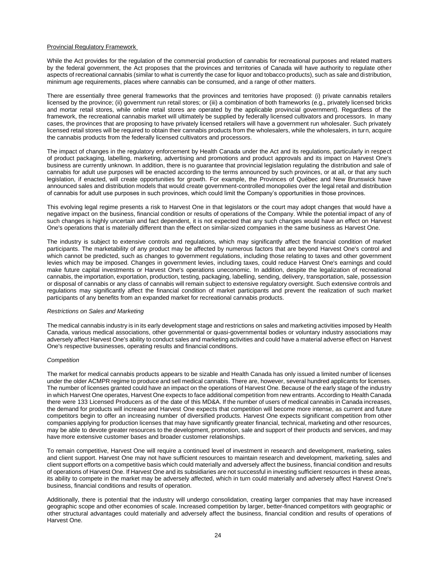#### Provincial Regulatory Framework

While the Act provides for the regulation of the commercial production of cannabis for recreational purposes and related matters by the federal government, the Act proposes that the provinces and territories of Canada will have authority to regulate other aspects of recreational cannabis (similar to what is currently the case for liquor and tobacco products), such as sale and distribution, minimum age requirements, places where cannabis can be consumed, and a range of other matters.

There are essentially three general frameworks that the provinces and territories have proposed: (i) private cannabis retailers licensed by the province; (ii) government run retail stores; or (iii) a combination of both frameworks (e.g., privately licensed bricks and mortar retail stores, while online retail stores are operated by the applicable provincial government). Regardless of the framework, the recreational cannabis market will ultimately be supplied by federally licensed cultivators and processors. In many cases, the provinces that are proposing to have privately licensed retailers will have a government run wholesaler. Such privately licensed retail stores will be required to obtain their cannabis products from the wholesalers, while the wholesalers, in turn, acquire the cannabis products from the federally licensed cultivators and processors.

The impact of changes in the regulatory enforcement by Health Canada under the Act and its regulations, particularly in respect of product packaging, labelling, marketing, advertising and promotions and product approvals and its impact on Harvest One's business are currently unknown. In addition, there is no guarantee that provincial legislation regulating the distribution and sale of cannabis for adult use purposes will be enacted according to the terms announced by such provinces, or at all, or that any such legislation, if enacted, will create opportunities for growth. For example, the Provinces of Québec and New Brunswick have announced sales and distribution models that would create government-controlled monopolies over the legal retail and distribution of cannabis for adult use purposes in such provinces, which could limit the Company's opportunities in those provinces.

This evolving legal regime presents a risk to Harvest One in that legislators or the court may adopt changes that would have a negative impact on the business, financial condition or results of operations of the Company. While the potential impact of any of such changes is highly uncertain and fact dependent, it is not expected that any such changes would have an effect on Harvest One's operations that is materially different than the effect on similar-sized companies in the same business as Harvest One.

The industry is subject to extensive controls and regulations, which may significantly affect the financial condition of market participants. The marketability of any product may be affected by numerous factors that are beyond Harvest One's control and which cannot be predicted, such as changes to government regulations, including those relating to taxes and other government levies which may be imposed. Changes in government levies, including taxes, could reduce Harvest One's earnings and could make future capital investments or Harvest One's operations uneconomic. In addition, despite the legalization of recreational cannabis, the importation, exportation, production, testing, packaging, labelling, sending, delivery, transportation, sale, possession or disposal of cannabis or any class of cannabis will remain subject to extensive regulatory oversight. Such extensive controls and regulations may significantly affect the financial condition of market participants and prevent the realization of such market participants of any benefits from an expanded market for recreational cannabis products.

#### *Restrictions on Sales and Marketing*

The medical cannabis industry is in its early development stage and restrictions on sales and marketing activities imposed by Health Canada, various medical associations, other governmental or quasi-governmental bodies or voluntary industry associations may adversely affect Harvest One's ability to conduct sales and marketing activities and could have a material adverse effect on Harvest One's respective businesses, operating results and financial conditions.

#### *Competition*

The market for medical cannabis products appears to be sizable and Health Canada has only issued a limited number of licenses under the older ACMPR regime to produce and sell medical cannabis. There are, however, several hundred applicants for licenses. The number of licenses granted could have an impact on the operations of Harvest One. Because of the early stage of the industry in which Harvest One operates, Harvest One expects to face additional competition from new entrants. According to Health Canada there were 133 Licensed Producers as of the date of this MD&A. If the number of users of medical cannabis in Canada increases, the demand for products will increase and Harvest One expects that competition will become more intense, as current and future competitors begin to offer an increasing number of diversified products. Harvest One expects significant competition from other companies applying for production licenses that may have significantly greater financial, technical, marketing and other resources, may be able to devote greater resources to the development, promotion, sale and support of their products and services, and may have more extensive customer bases and broader customer relationships.

To remain competitive, Harvest One will require a continued level of investment in research and development, marketing, sales and client support. Harvest One may not have sufficient resources to maintain research and development, marketing, sales and client support efforts on a competitive basis which could materially and adversely affect the business, financial condition and results of operations of Harvest One. If Harvest One and its subsidiaries are not successful in investing sufficient resources in these areas, its ability to compete in the market may be adversely affected, which in turn could materially and adversely affect Harvest One's business, financial conditions and results of operation.

Additionally, there is potential that the industry will undergo consolidation, creating larger companies that may have increased geographic scope and other economies of scale. Increased competition by larger, better-financed competitors with geographic or other structural advantages could materially and adversely affect the business, financial condition and results of operations of Harvest One.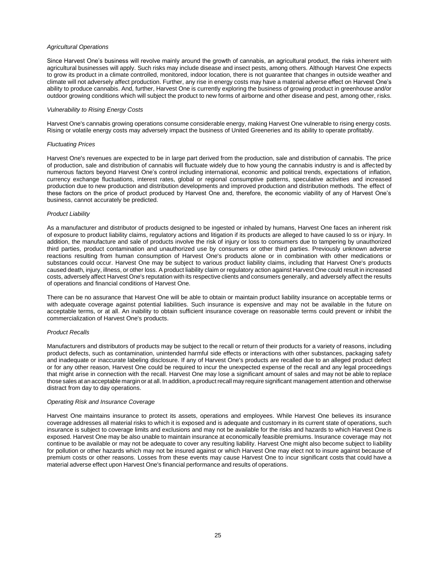#### *Agricultural Operations*

Since Harvest One's business will revolve mainly around the growth of cannabis, an agricultural product, the risks inherent with agricultural businesses will apply. Such risks may include disease and insect pests, among others. Although Harvest One expects to grow its product in a climate controlled, monitored, indoor location, there is not guarantee that changes in outside weather and climate will not adversely affect production. Further, any rise in energy costs may have a material adverse effect on Harvest One's ability to produce cannabis. And, further, Harvest One is currently exploring the business of growing product in greenhouse and/or outdoor growing conditions which will subject the product to new forms of airborne and other disease and pest, among other, risks.

#### *Vulnerability to Rising Energy Costs*

Harvest One's cannabis growing operations consume considerable energy, making Harvest One vulnerable to rising energy costs. Rising or volatile energy costs may adversely impact the business of United Greeneries and its ability to operate profitably.

#### *Fluctuating Prices*

Harvest One's revenues are expected to be in large part derived from the production, sale and distribution of cannabis. The price of production, sale and distribution of cannabis will fluctuate widely due to how young the cannabis industry is and is affected by numerous factors beyond Harvest One's control including international, economic and political trends, expectations of inflation, currency exchange fluctuations, interest rates, global or regional consumptive patterns, speculative activities and increased production due to new production and distribution developments and improved production and distribution methods. The effect of these factors on the price of product produced by Harvest One and, therefore, the economic viability of any of Harvest One's business, cannot accurately be predicted.

#### *Product Liability*

As a manufacturer and distributor of products designed to be ingested or inhaled by humans, Harvest One faces an inherent risk of exposure to product liability claims, regulatory actions and litigation if its products are alleged to have caused lo ss or injury. In addition, the manufacture and sale of products involve the risk of injury or loss to consumers due to tampering by unauthorized third parties, product contamination and unauthorized use by consumers or other third parties. Previously unknown adverse reactions resulting from human consumption of Harvest One's products alone or in combination with other medications or substances could occur. Harvest One may be subject to various product liability claims, including that Harvest One's products caused death, injury, illness, or other loss. A product liability claim or regulatory action against Harvest One could result in increased costs, adversely affect Harvest One's reputation with its respective clients and consumers generally, and adversely affect the results of operations and financial conditions of Harvest One.

There can be no assurance that Harvest One will be able to obtain or maintain product liability insurance on acceptable terms or with adequate coverage against potential liabilities. Such insurance is expensive and may not be available in the future on acceptable terms, or at all. An inability to obtain sufficient insurance coverage on reasonable terms could prevent or inhibit the commercialization of Harvest One's products.

#### *Product Recalls*

Manufacturers and distributors of products may be subject to the recall or return of their products for a variety of reasons, including product defects, such as contamination, unintended harmful side effects or interactions with other substances, packaging safety and inadequate or inaccurate labeling disclosure. If any of Harvest One's products are recalled due to an alleged product defect or for any other reason, Harvest One could be required to incur the unexpected expense of the recall and any legal proceedings that might arise in connection with the recall. Harvest One may lose a significant amount of sales and may not be able to replace those sales at an acceptable margin or at all. In addition, a product recall may require significant management attention and otherwise distract from day to day operations.

#### *Operating Risk and Insurance Coverage*

Harvest One maintains insurance to protect its assets, operations and employees. While Harvest One believes its insurance coverage addresses all material risks to which it is exposed and is adequate and customary in its current state of operations, such insurance is subject to coverage limits and exclusions and may not be available for the risks and hazards to which Harvest One is exposed. Harvest One may be also unable to maintain insurance at economically feasible premiums. Insurance coverage may not continue to be available or may not be adequate to cover any resulting liability. Harvest One might also become subject to liability for pollution or other hazards which may not be insured against or which Harvest One may elect not to insure against because of premium costs or other reasons. Losses from these events may cause Harvest One to incur significant costs that could have a material adverse effect upon Harvest One's financial performance and results of operations.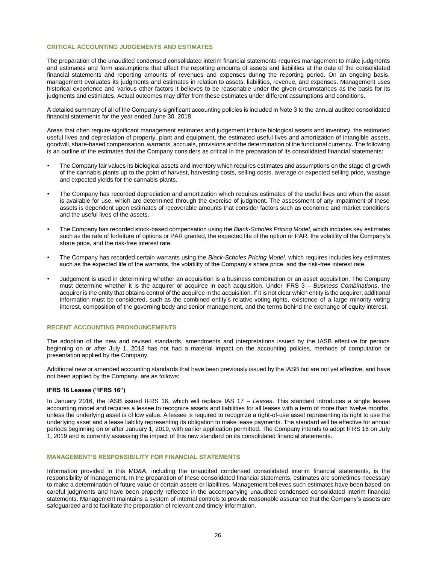#### **CRITICAL ACCOUNTING JUDGEMENTS AND ESTIMATES**

The preparation of the unaudited condensed consolidated interim financial statements requires management to make judgments and estimates and form assumptions that affect the reporting amounts of assets and liabilities at the date of the consolidated financial statements and reporting amounts of revenues and expenses during the reporting period. On an ongoing basis, management evaluates its judgments and estimates in relation to assets, liabilities, revenue, and expenses. Management uses historical experience and various other factors it believes to be reasonable under the given circumstances as the basis for its judgments and estimates. Actual outcomes may differ from these estimates under different assumptions and conditions.

A detailed summary of all of the Company's significant accounting policies is included in Note 3 to the annual audited consolidated financial statements for the year ended June 30, 2018.

Areas that often require significant management estimates and judgement include biological assets and inventory, the estimated useful lives and depreciation of property, plant and equipment, the estimated useful lives and amortization of intangible assets, goodwill, share-based compensation, warrants, accruals, provisions and the determination of the functional currency. The following is an outline of the estimates that the Company considers as critical in the preparation of its consolidated financial statements:

- The Company fair values its biological assets and inventory which requires estimates and assumptions on the stage of growth of the cannabis plants up to the point of harvest, harvesting costs, selling costs, average or expected selling price, wastage and expected yields for the cannabis plants.
- The Company has recorded depreciation and amortization which requires estimates of the useful lives and when the asset is available for use, which are determined through the exercise of judgment. The assessment of any impairment of these assets is dependent upon estimates of recoverable amounts that consider factors such as economic and market conditions and the useful lives of the assets.
- The Company has recorded stock-based compensation using the *Black-Scholes Pricing Model*, which includes key estimates such as the rate of forfeiture of options or PAR granted, the expected life of the option or PAR, the volatility of the Company's share price, and the risk-free interest rate.
- The Company has recorded certain warrants using the *Black-Scholes Pricing Model*, which requires includes key estimates such as the expected life of the warrants, the volatility of the Company's share price, and the risk-free interest rate.
- Judgement is used in determining whether an acquisition is a business combination or an asset acquisition. The Company must determine whether it is the acquirer or acquiree in each acquisition. Under IFRS 3 – *Business Combinations*, the acquirer is the entity that obtains control of the acquiree in the acquisition. If it is not clear which entity is the acquirer, additional information must be considered, such as the combined entity's relative voting rights, existence of a large minority voting interest, composition of the governing body and senior management, and the terms behind the exchange of equity interest.

#### **RECENT ACCOUNTING PRONOUNCEMENTS**

The adoption of the new and revised standards, amendments and interpretations issued by the IASB effective for periods beginning on or after July 1, 2018 has not had a material impact on the accounting policies, methods of computation or presentation applied by the Company.

Additional new or amended accounting standards that have been previously issued by the IASB but are not yet effective, and have not been applied by the Company, are as follows:

#### **IFRS 16 Leases ("IFRS 16")**

In January 2016, the IASB issued IFRS 16, which will replace IAS 17 – *Leases*. This standard introduces a single lessee accounting model and requires a lessee to recognize assets and liabilities for all leases with a term of more than twelve months, unless the underlying asset is of low value. A lessee is required to recognize a right-of-use asset representing its right to use the underlying asset and a lease liability representing its obligation to make lease payments. The standard will be effective for annual periods beginning on or after January 1, 2019, with earlier application permitted. The Company intends to adopt IFRS 16 on July 1, 2019 and is currently assessing the impact of this new standard on its consolidated financial statements.

#### **MANAGEMENT'S RESPONSIBILITY FOR FINANCIAL STATEMENTS**

Information provided in this MD&A, including the unaudited condensed consolidated interim financial statements, is the responsibility of management. In the preparation of these consolidated financial statements, estimates are sometimes necessary to make a determination of future value or certain assets or liabilities. Management believes such estimates have been based on careful judgments and have been properly reflected in the accompanying unaudited condensed consolidated interim financial statements. Management maintains a system of internal controls to provide reasonable assurance that the Company's assets are safeguarded and to facilitate the preparation of relevant and timely information.